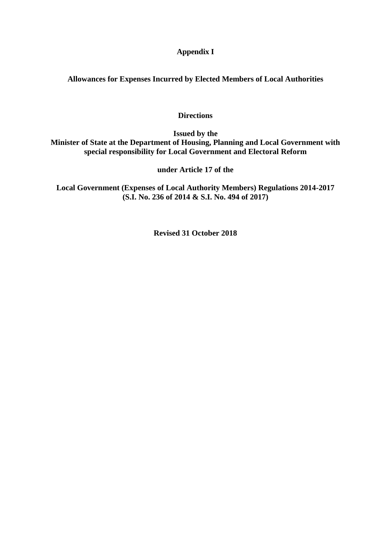# **Appendix I**

**Allowances for Expenses Incurred by Elected Members of Local Authorities**

# **Directions**

**Issued by the Minister of State at the Department of Housing, Planning and Local Government with special responsibility for Local Government and Electoral Reform**

**under Article 17 of the**

**Local Government (Expenses of Local Authority Members) Regulations 2014-2017 (S.I. No. 236 of 2014 & S.I. No. 494 of 2017)**

**Revised 31 October 2018**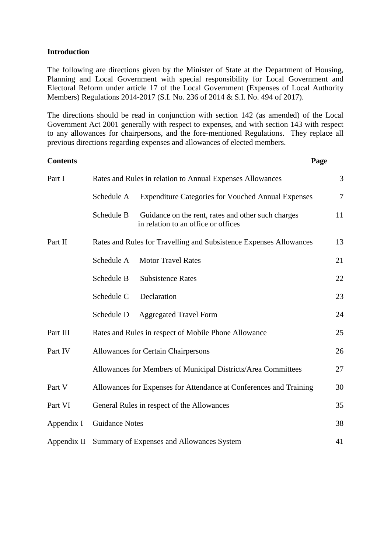## **Introduction**

The following are directions given by the Minister of State at the Department of Housing, Planning and Local Government with special responsibility for Local Government and Electoral Reform under article 17 of the Local Government (Expenses of Local Authority Members) Regulations 2014-2017 (S.I. No. 236 of 2014 & S.I. No. 494 of 2017).

The directions should be read in conjunction with section 142 (as amended) of the Local Government Act 2001 generally with respect to expenses, and with section 143 with respect to any allowances for chairpersons, and the fore-mentioned Regulations. They replace all previous directions regarding expenses and allowances of elected members.

#### **Contents Page**

| Part I      | Rates and Rules in relation to Annual Expenses Allowances |                                                                                           |                |
|-------------|-----------------------------------------------------------|-------------------------------------------------------------------------------------------|----------------|
|             | Schedule A                                                | <b>Expenditure Categories for Vouched Annual Expenses</b>                                 | $\overline{7}$ |
|             | Schedule B                                                | Guidance on the rent, rates and other such charges<br>in relation to an office or offices | 11             |
| Part II     |                                                           | Rates and Rules for Travelling and Subsistence Expenses Allowances                        | 13             |
|             | Schedule A                                                | <b>Motor Travel Rates</b>                                                                 | 21             |
|             | Schedule B                                                | <b>Subsistence Rates</b>                                                                  | 22             |
|             | Schedule C                                                | Declaration                                                                               | 23             |
|             | Schedule D                                                | <b>Aggregated Travel Form</b>                                                             | 24             |
| Part III    |                                                           | Rates and Rules in respect of Mobile Phone Allowance                                      | 25             |
| Part IV     |                                                           | <b>Allowances for Certain Chairpersons</b>                                                | 26             |
|             |                                                           | Allowances for Members of Municipal Districts/Area Committees                             | 27             |
| Part V      |                                                           | Allowances for Expenses for Attendance at Conferences and Training                        | 30             |
| Part VI     |                                                           | General Rules in respect of the Allowances                                                | 35             |
| Appendix I  | <b>Guidance Notes</b>                                     |                                                                                           |                |
| Appendix II |                                                           | Summary of Expenses and Allowances System                                                 | 41             |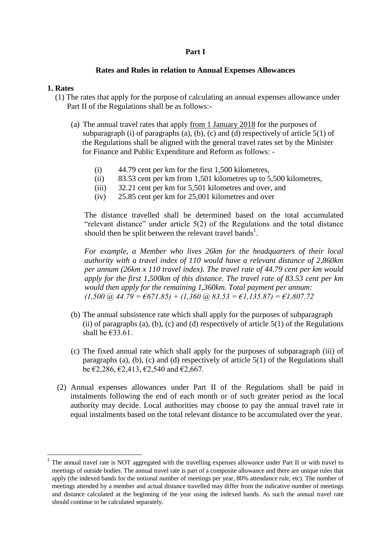#### **Part I**

#### **Rates and Rules in relation to Annual Expenses Allowances**

#### **1. Rates**

1

- (1) The rates that apply for the purpose of calculating an annual expenses allowance under Part II of the Regulations shall be as follows:-
	- (a) The annual travel rates that apply from 1 January 2018 for the purposes of subparagraph (i) of paragraphs (a), (b), (c) and (d) respectively of article  $5(1)$  of the Regulations shall be aligned with the general travel rates set by the Minister for Finance and Public Expenditure and Reform as follows: -
		- (i) 44.79 cent per km for the first 1,500 kilometres,
		- (ii) 83.53 cent per km from 1,501 kilometres up to 5,500 kilometres,
		- (iii) 32.21 cent per km for 5,501 kilometres and over, and
		- (iv) 25.85 cent per km for 25,001 kilometres and over

The distance travelled shall be determined based on the total accumulated "relevant distance" under article 5(2) of the Regulations and the total distance should then be split between the relevant travel bands<sup>1</sup>.

*For example, a Member who lives 26km for the headquarters of their local authority with a travel index of 110 would have a relevant distance of 2,860km per annum (26km x 110 travel index). The travel rate of 44.79 cent per km would apply for the first 1,500km of this distance. The travel rate of 83.53 cent per km would then apply for the remaining 1,360km. Total payment per annum: (1,500 @ 44.79 = €671.85) + (1,360 @ 83.53 = €1,135.87) = €1,807.72* 

- (b) The annual subsistence rate which shall apply for the purposes of subparagraph (ii) of paragraphs (a), (b), (c) and (d) respectively of article  $5(1)$  of the Regulations shall be  $€33.61$ .
- (c) The fixed annual rate which shall apply for the purposes of subparagraph (iii) of paragraphs (a), (b), (c) and (d) respectively of article 5(1) of the Regulations shall be  $\epsilon$ 2,286,  $\epsilon$ 2,413,  $\epsilon$ 2,540 and  $\epsilon$ 2,667.
- (2) Annual expenses allowances under Part II of the Regulations shall be paid in instalments following the end of each month or of such greater period as the local authority may decide. Local authorities may choose to pay the annual travel rate in equal instalments based on the total relevant distance to be accumulated over the year.

<sup>1</sup> The annual travel rate is NOT aggregated with the travelling expenses allowance under Part II or with travel to meetings of outside bodies. The annual travel rate is part of a composite allowance and there are unique rules that apply (the indexed bands for the notional number of meetings per year, 80% attendance rule, etc). The number of meetings attended by a member and actual distance travelled may differ from the indicative number of meetings and distance calculated at the beginning of the year using the indexed bands. As such the annual travel rate should continue to be calculated separately.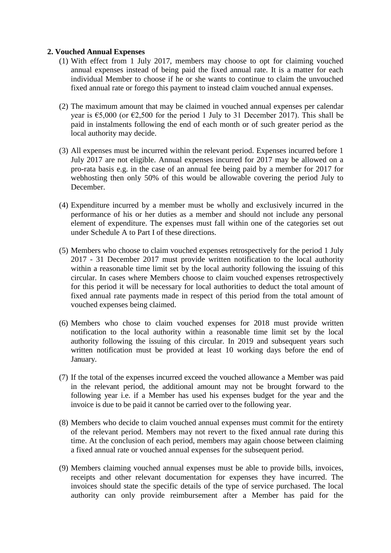# **2. Vouched Annual Expenses**

- (1) With effect from 1 July 2017, members may choose to opt for claiming vouched annual expenses instead of being paid the fixed annual rate. It is a matter for each individual Member to choose if he or she wants to continue to claim the unvouched fixed annual rate or forego this payment to instead claim vouched annual expenses.
- (2) The maximum amount that may be claimed in vouched annual expenses per calendar year is  $65,000$  (or  $62,500$  for the period 1 July to 31 December 2017). This shall be paid in instalments following the end of each month or of such greater period as the local authority may decide.
- (3) All expenses must be incurred within the relevant period. Expenses incurred before 1 July 2017 are not eligible. Annual expenses incurred for 2017 may be allowed on a pro-rata basis e.g. in the case of an annual fee being paid by a member for 2017 for webhosting then only 50% of this would be allowable covering the period July to December.
- (4) Expenditure incurred by a member must be wholly and exclusively incurred in the performance of his or her duties as a member and should not include any personal element of expenditure. The expenses must fall within one of the categories set out under Schedule A to Part I of these directions.
- (5) Members who choose to claim vouched expenses retrospectively for the period 1 July 2017 - 31 December 2017 must provide written notification to the local authority within a reasonable time limit set by the local authority following the issuing of this circular. In cases where Members choose to claim vouched expenses retrospectively for this period it will be necessary for local authorities to deduct the total amount of fixed annual rate payments made in respect of this period from the total amount of vouched expenses being claimed.
- (6) Members who chose to claim vouched expenses for 2018 must provide written notification to the local authority within a reasonable time limit set by the local authority following the issuing of this circular. In 2019 and subsequent years such written notification must be provided at least 10 working days before the end of January.
- (7) If the total of the expenses incurred exceed the vouched allowance a Member was paid in the relevant period, the additional amount may not be brought forward to the following year i.e. if a Member has used his expenses budget for the year and the invoice is due to be paid it cannot be carried over to the following year.
- (8) Members who decide to claim vouched annual expenses must commit for the entirety of the relevant period. Members may not revert to the fixed annual rate during this time. At the conclusion of each period, members may again choose between claiming a fixed annual rate or vouched annual expenses for the subsequent period.
- (9) Members claiming vouched annual expenses must be able to provide bills, invoices, receipts and other relevant documentation for expenses they have incurred. The invoices should state the specific details of the type of service purchased. The local authority can only provide reimbursement after a Member has paid for the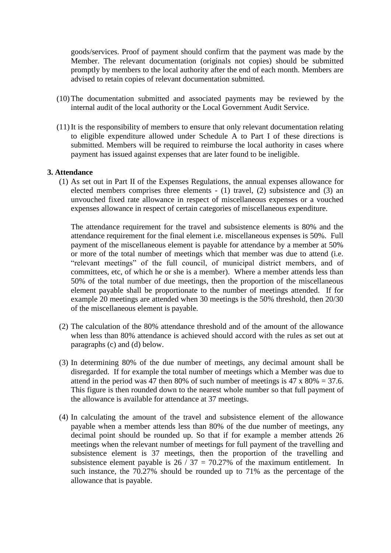goods/services. Proof of payment should confirm that the payment was made by the Member. The relevant documentation (originals not copies) should be submitted promptly by members to the local authority after the end of each month. Members are advised to retain copies of relevant documentation submitted.

- (10) The documentation submitted and associated payments may be reviewed by the internal audit of the local authority or the Local Government Audit Service.
- (11)It is the responsibility of members to ensure that only relevant documentation relating to eligible expenditure allowed under Schedule A to Part I of these directions is submitted. Members will be required to reimburse the local authority in cases where payment has issued against expenses that are later found to be ineligible.

#### **3. Attendance**

(1) As set out in Part II of the Expenses Regulations, the annual expenses allowance for elected members comprises three elements - (1) travel, (2) subsistence and (3) an unvouched fixed rate allowance in respect of miscellaneous expenses or a vouched expenses allowance in respect of certain categories of miscellaneous expenditure.

The attendance requirement for the travel and subsistence elements is 80% and the attendance requirement for the final element i.e. miscellaneous expenses is 50%. Full payment of the miscellaneous element is payable for attendance by a member at 50% or more of the total number of meetings which that member was due to attend (i.e. "relevant meetings" of the full council, of municipal district members, and of committees, etc, of which he or she is a member). Where a member attends less than 50% of the total number of due meetings, then the proportion of the miscellaneous element payable shall be proportionate to the number of meetings attended. If for example 20 meetings are attended when 30 meetings is the 50% threshold, then 20/30 of the miscellaneous element is payable.

- (2) The calculation of the 80% attendance threshold and of the amount of the allowance when less than 80% attendance is achieved should accord with the rules as set out at paragraphs (c) and (d) below.
- (3) In determining 80% of the due number of meetings, any decimal amount shall be disregarded. If for example the total number of meetings which a Member was due to attend in the period was 47 then 80% of such number of meetings is 47 x 80% = 37.6. This figure is then rounded down to the nearest whole number so that full payment of the allowance is available for attendance at 37 meetings.
- (4) In calculating the amount of the travel and subsistence element of the allowance payable when a member attends less than 80% of the due number of meetings, any decimal point should be rounded up. So that if for example a member attends 26 meetings when the relevant number of meetings for full payment of the travelling and subsistence element is 37 meetings, then the proportion of the travelling and subsistence element payable is  $26 / 37 = 70.27\%$  of the maximum entitlement. In such instance, the 70.27% should be rounded up to 71% as the percentage of the allowance that is payable.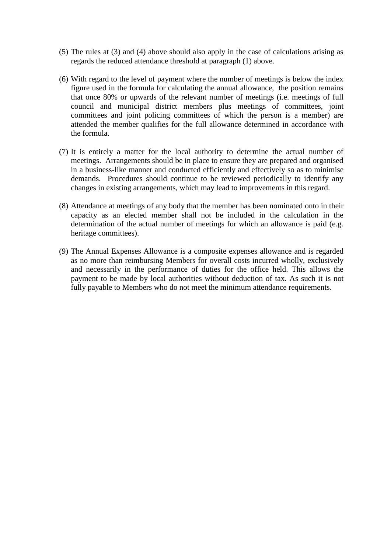- (5) The rules at (3) and (4) above should also apply in the case of calculations arising as regards the reduced attendance threshold at paragraph (1) above.
- (6) With regard to the level of payment where the number of meetings is below the index figure used in the formula for calculating the annual allowance, the position remains that once 80% or upwards of the relevant number of meetings (i.e. meetings of full council and municipal district members plus meetings of committees, joint committees and joint policing committees of which the person is a member) are attended the member qualifies for the full allowance determined in accordance with the formula.
- (7) It is entirely a matter for the local authority to determine the actual number of meetings. Arrangements should be in place to ensure they are prepared and organised in a business-like manner and conducted efficiently and effectively so as to minimise demands. Procedures should continue to be reviewed periodically to identify any changes in existing arrangements, which may lead to improvements in this regard.
- (8) Attendance at meetings of any body that the member has been nominated onto in their capacity as an elected member shall not be included in the calculation in the determination of the actual number of meetings for which an allowance is paid (e.g. heritage committees).
- (9) The Annual Expenses Allowance is a composite expenses allowance and is regarded as no more than reimbursing Members for overall costs incurred wholly, exclusively and necessarily in the performance of duties for the office held. This allows the payment to be made by local authorities without deduction of tax. As such it is not fully payable to Members who do not meet the minimum attendance requirements.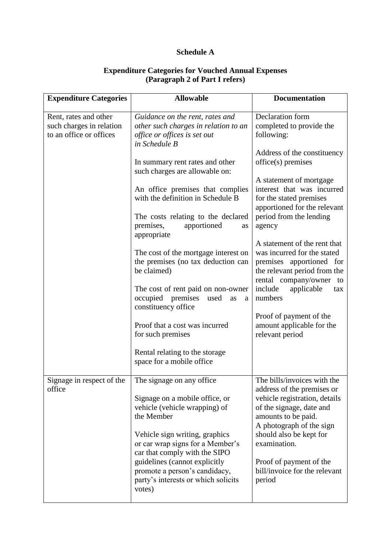# **Schedule A**

| <b>Expenditure Categories</b>                     | <b>Allowable</b>                                                                                                | <b>Documentation</b>                                                                                                                               |
|---------------------------------------------------|-----------------------------------------------------------------------------------------------------------------|----------------------------------------------------------------------------------------------------------------------------------------------------|
| Rent, rates and other<br>such charges in relation | Guidance on the rent, rates and<br>other such charges in relation to an                                         | Declaration form<br>completed to provide the                                                                                                       |
| to an office or offices                           | office or offices is set out<br>in Schedule B                                                                   | following:                                                                                                                                         |
|                                                   | In summary rent rates and other<br>such charges are allowable on:                                               | Address of the constituency<br>$of\ddot{\text{fice}}(s)$ premises                                                                                  |
|                                                   | An office premises that complies<br>with the definition in Schedule B<br>The costs relating to the declared     | A statement of mortgage<br>interest that was incurred<br>for the stated premises<br>apportioned for the relevant<br>period from the lending        |
|                                                   | apportioned<br>premises,<br>as<br>appropriate                                                                   | agency                                                                                                                                             |
|                                                   | The cost of the mortgage interest on<br>the premises (no tax deduction can<br>be claimed)                       | A statement of the rent that<br>was incurred for the stated<br>premises apportioned for<br>the relevant period from the<br>rental company/owner to |
|                                                   | The cost of rent paid on non-owner<br>occupied<br>premises<br>used<br>as<br>a<br>constituency office            | include<br>applicable<br>tax<br>numbers                                                                                                            |
|                                                   | Proof that a cost was incurred<br>for such premises                                                             | Proof of payment of the<br>amount applicable for the<br>relevant period                                                                            |
|                                                   | Rental relating to the storage<br>space for a mobile office                                                     |                                                                                                                                                    |
| Signage in respect of the<br>office               | The signage on any office.                                                                                      | The bills/invoices with the<br>address of the premises or                                                                                          |
|                                                   | Signage on a mobile office, or<br>vehicle (vehicle wrapping) of<br>the Member                                   | vehicle registration, details<br>of the signage, date and<br>amounts to be paid.<br>A photograph of the sign                                       |
|                                                   | Vehicle sign writing, graphics<br>or car wrap signs for a Member's<br>car that comply with the SIPO             | should also be kept for<br>examination.                                                                                                            |
|                                                   | guidelines (cannot explicitly<br>promote a person's candidacy,<br>party's interests or which solicits<br>votes) | Proof of payment of the<br>bill/invoice for the relevant<br>period                                                                                 |

# **Expenditure Categories for Vouched Annual Expenses (Paragraph 2 of Part I refers)**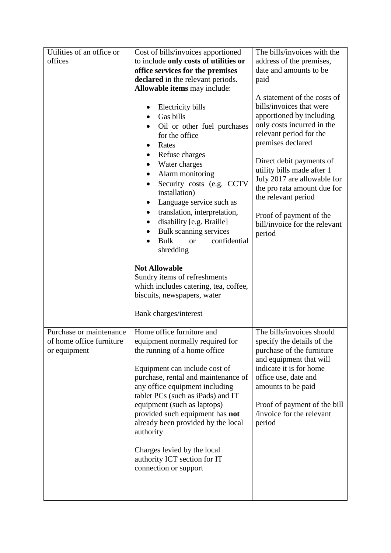| Utilities of an office or                                           | Cost of bills/invoices apportioned                                                                                                                                                                                                                                                                                                                                                                                                                       | The bills/invoices with the                                                                                                                                                                                                                                                                                                                                                            |
|---------------------------------------------------------------------|----------------------------------------------------------------------------------------------------------------------------------------------------------------------------------------------------------------------------------------------------------------------------------------------------------------------------------------------------------------------------------------------------------------------------------------------------------|----------------------------------------------------------------------------------------------------------------------------------------------------------------------------------------------------------------------------------------------------------------------------------------------------------------------------------------------------------------------------------------|
| offices                                                             | to include only costs of utilities or                                                                                                                                                                                                                                                                                                                                                                                                                    | address of the premises,                                                                                                                                                                                                                                                                                                                                                               |
|                                                                     | office services for the premises                                                                                                                                                                                                                                                                                                                                                                                                                         | date and amounts to be                                                                                                                                                                                                                                                                                                                                                                 |
|                                                                     | declared in the relevant periods.                                                                                                                                                                                                                                                                                                                                                                                                                        | paid                                                                                                                                                                                                                                                                                                                                                                                   |
|                                                                     | Allowable items may include:                                                                                                                                                                                                                                                                                                                                                                                                                             |                                                                                                                                                                                                                                                                                                                                                                                        |
|                                                                     | Electricity bills<br>٠<br>Gas bills<br>Oil or other fuel purchases<br>for the office<br>Rates<br>Refuse charges<br>$\bullet$<br>Water charges<br>$\bullet$<br>Alarm monitoring<br>$\bullet$<br>Security costs (e.g. CCTV<br>installation)<br>Language service such as<br>$\bullet$<br>translation, interpretation,<br>$\bullet$<br>disability [e.g. Braille]<br>٠<br>Bulk scanning services<br>$\bullet$<br>confidential<br><b>Bulk</b><br><b>or</b>     | A statement of the costs of<br>bills/invoices that were<br>apportioned by including<br>only costs incurred in the<br>relevant period for the<br>premises declared<br>Direct debit payments of<br>utility bills made after 1<br>July 2017 are allowable for<br>the pro rata amount due for<br>the relevant period<br>Proof of payment of the<br>bill/invoice for the relevant<br>period |
|                                                                     | shredding                                                                                                                                                                                                                                                                                                                                                                                                                                                |                                                                                                                                                                                                                                                                                                                                                                                        |
|                                                                     | <b>Not Allowable</b><br>Sundry items of refreshments<br>which includes catering, tea, coffee,<br>biscuits, newspapers, water<br>Bank charges/interest                                                                                                                                                                                                                                                                                                    |                                                                                                                                                                                                                                                                                                                                                                                        |
| Purchase or maintenance<br>of home office furniture<br>or equipment | Home office furniture and<br>equipment normally required for<br>the running of a home office<br>Equipment can include cost of<br>purchase, rental and maintenance of<br>any office equipment including<br>tablet PCs (such as iPads) and IT<br>equipment (such as laptops)<br>provided such equipment has not<br>already been provided by the local<br>authority<br>Charges levied by the local<br>authority ICT section for IT<br>connection or support | The bills/invoices should<br>specify the details of the<br>purchase of the furniture<br>and equipment that will<br>indicate it is for home<br>office use, date and<br>amounts to be paid<br>Proof of payment of the bill<br>invoice for the relevant<br>period                                                                                                                         |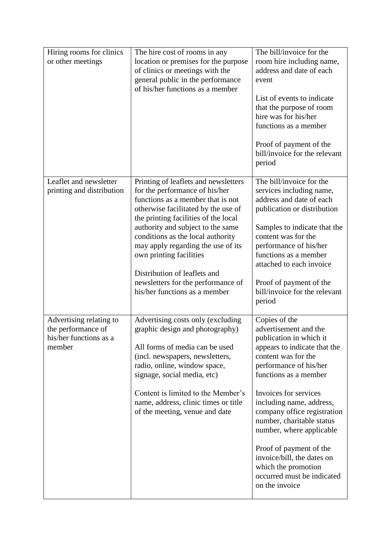| Hiring rooms for clinics<br>or other meetings                                     | The hire cost of rooms in any<br>location or premises for the purpose<br>of clinics or meetings with the<br>general public in the performance<br>of his/her functions as a member                                                                                                                                                                                                                                                            | The bill/invoice for the<br>room hire including name,<br>address and date of each<br>event<br>List of events to indicate<br>that the purpose of room<br>hire was for his/her<br>functions as a member<br>Proof of payment of the<br>bill/invoice for the relevant<br>period                                                                                                                                                                              |
|-----------------------------------------------------------------------------------|----------------------------------------------------------------------------------------------------------------------------------------------------------------------------------------------------------------------------------------------------------------------------------------------------------------------------------------------------------------------------------------------------------------------------------------------|----------------------------------------------------------------------------------------------------------------------------------------------------------------------------------------------------------------------------------------------------------------------------------------------------------------------------------------------------------------------------------------------------------------------------------------------------------|
| Leaflet and newsletter<br>printing and distribution                               | Printing of leaflets and newsletters<br>for the performance of his/her<br>functions as a member that is not<br>otherwise facilitated by the use of<br>the printing facilities of the local<br>authority and subject to the same<br>conditions as the local authority<br>may apply regarding the use of its<br>own printing facilities<br>Distribution of leaflets and<br>newsletters for the performance of<br>his/her functions as a member | The bill/invoice for the<br>services including name,<br>address and date of each<br>publication or distribution<br>Samples to indicate that the<br>content was for the<br>performance of his/her<br>functions as a member<br>attached to each invoice<br>Proof of payment of the<br>bill/invoice for the relevant<br>period                                                                                                                              |
| Advertising relating to<br>the performance of<br>his/her functions as a<br>member | Advertising costs only (excluding<br>graphic design and photography)<br>All forms of media can be used<br>(incl. newspapers, newsletters,<br>radio, online, window space,<br>signage, social media, etc)<br>Content is limited to the Member's<br>name, address, clinic times or title<br>of the meeting, venue and date                                                                                                                     | Copies of the<br>advertisement and the<br>publication in which it<br>appears to indicate that the<br>content was for the<br>performance of his/her<br>functions as a member<br>Invoices for services<br>including name, address,<br>company office registration<br>number, charitable status<br>number, where applicable<br>Proof of payment of the<br>invoice/bill, the dates on<br>which the promotion<br>occurred must be indicated<br>on the invoice |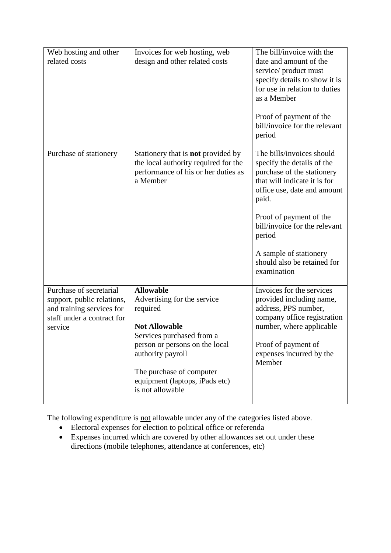| Web hosting and other<br>related costs                                                                                      | Invoices for web hosting, web<br>design and other related costs                                                                                                                                                                                           | The bill/invoice with the<br>date and amount of the<br>service/product must<br>specify details to show it is<br>for use in relation to duties<br>as a Member<br>Proof of payment of the<br>bill/invoice for the relevant<br>period                                                                          |
|-----------------------------------------------------------------------------------------------------------------------------|-----------------------------------------------------------------------------------------------------------------------------------------------------------------------------------------------------------------------------------------------------------|-------------------------------------------------------------------------------------------------------------------------------------------------------------------------------------------------------------------------------------------------------------------------------------------------------------|
| Purchase of stationery                                                                                                      | Stationery that is <b>not</b> provided by<br>the local authority required for the<br>performance of his or her duties as<br>a Member                                                                                                                      | The bills/invoices should<br>specify the details of the<br>purchase of the stationery<br>that will indicate it is for<br>office use, date and amount<br>paid.<br>Proof of payment of the<br>bill/invoice for the relevant<br>period<br>A sample of stationery<br>should also be retained for<br>examination |
| Purchase of secretarial<br>support, public relations,<br>and training services for<br>staff under a contract for<br>service | <b>Allowable</b><br>Advertising for the service<br>required<br><b>Not Allowable</b><br>Services purchased from a<br>person or persons on the local<br>authority payroll<br>The purchase of computer<br>equipment (laptops, iPads etc)<br>is not allowable | Invoices for the services<br>provided including name,<br>address, PPS number,<br>company office registration<br>number, where applicable<br>Proof of payment of<br>expenses incurred by the<br>Member                                                                                                       |

The following expenditure is not allowable under any of the categories listed above.

- Electoral expenses for election to political office or referenda
- Expenses incurred which are covered by other allowances set out under these directions (mobile telephones, attendance at conferences, etc)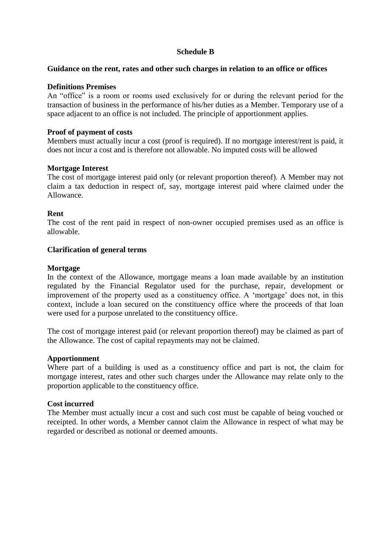# **Schedule B**

#### **Guidance on the rent, rates and other such charges in relation to an office or offices**

### **Definitions Premises**

An "office" is a room or rooms used exclusively for or during the relevant period for the transaction of business in the performance of his/her duties as a Member. Temporary use of a space adjacent to an office is not included. The principle of apportionment applies.

### **Proof of payment of costs**

Members must actually incur a cost (proof is required). If no mortgage interest/rent is paid, it does not incur a cost and is therefore not allowable. No imputed costs will be allowed

### **Mortgage Interest**

The cost of mortgage interest paid only (or relevant proportion thereof). A Member may not claim a tax deduction in respect of, say, mortgage interest paid where claimed under the Allowance.

### **Rent**

The cost of the rent paid in respect of non-owner occupied premises used as an office is allowable.

### **Clarification of general terms**

### **Mortgage**

In the context of the Allowance, mortgage means a loan made available by an institution regulated by the Financial Regulator used for the purchase, repair, development or improvement of the property used as a constituency office. A 'mortgage' does not, in this context, include a loan secured on the constituency office where the proceeds of that loan were used for a purpose unrelated to the constituency office.

The cost of mortgage interest paid (or relevant proportion thereof) may be claimed as part of the Allowance. The cost of capital repayments may not be claimed.

### **Apportionment**

Where part of a building is used as a constituency office and part is not, the claim for mortgage interest, rates and other such charges under the Allowance may relate only to the proportion applicable to the constituency office.

### **Cost incurred**

The Member must actually incur a cost and such cost must be capable of being vouched or receipted. In other words, a Member cannot claim the Allowance in respect of what may be regarded or described as notional or deemed amounts.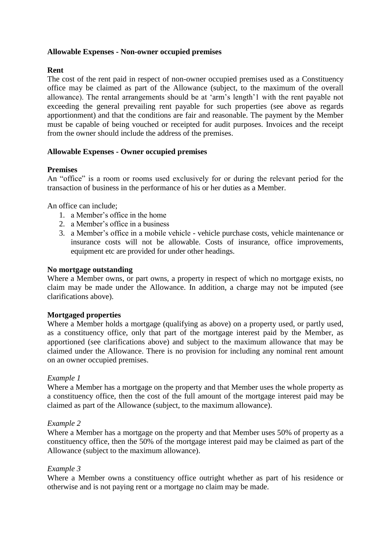# **Allowable Expenses - Non-owner occupied premises**

## **Rent**

The cost of the rent paid in respect of non-owner occupied premises used as a Constituency office may be claimed as part of the Allowance (subject, to the maximum of the overall allowance). The rental arrangements should be at 'arm's length'1 with the rent payable not exceeding the general prevailing rent payable for such properties (see above as regards apportionment) and that the conditions are fair and reasonable. The payment by the Member must be capable of being vouched or receipted for audit purposes. Invoices and the receipt from the owner should include the address of the premises.

# **Allowable Expenses - Owner occupied premises**

### **Premises**

An "office" is a room or rooms used exclusively for or during the relevant period for the transaction of business in the performance of his or her duties as a Member.

An office can include;

- 1. a Member's office in the home
- 2. a Member's office in a business
- 3. a Member's office in a mobile vehicle vehicle purchase costs, vehicle maintenance or insurance costs will not be allowable. Costs of insurance, office improvements, equipment etc are provided for under other headings.

## **No mortgage outstanding**

Where a Member owns, or part owns, a property in respect of which no mortgage exists, no claim may be made under the Allowance. In addition, a charge may not be imputed (see clarifications above).

### **Mortgaged properties**

Where a Member holds a mortgage (qualifying as above) on a property used, or partly used, as a constituency office, only that part of the mortgage interest paid by the Member, as apportioned (see clarifications above) and subject to the maximum allowance that may be claimed under the Allowance. There is no provision for including any nominal rent amount on an owner occupied premises.

### *Example 1*

Where a Member has a mortgage on the property and that Member uses the whole property as a constituency office, then the cost of the full amount of the mortgage interest paid may be claimed as part of the Allowance (subject, to the maximum allowance).

### *Example 2*

Where a Member has a mortgage on the property and that Member uses 50% of property as a constituency office, then the 50% of the mortgage interest paid may be claimed as part of the Allowance (subject to the maximum allowance).

### *Example 3*

Where a Member owns a constituency office outright whether as part of his residence or otherwise and is not paying rent or a mortgage no claim may be made.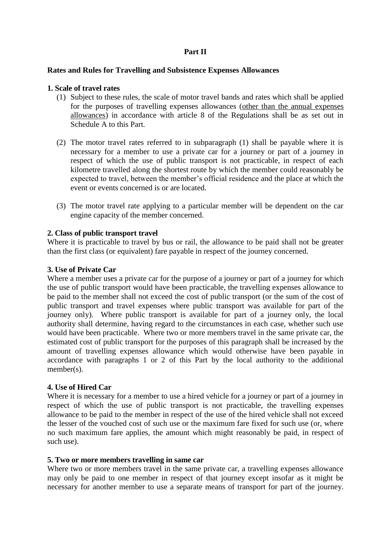# **Part II**

#### **Rates and Rules for Travelling and Subsistence Expenses Allowances**

#### **1. Scale of travel rates**

- (1) Subject to these rules, the scale of motor travel bands and rates which shall be applied for the purposes of travelling expenses allowances (other than the annual expenses allowances) in accordance with article 8 of the Regulations shall be as set out in Schedule A to this Part.
- (2) The motor travel rates referred to in subparagraph (1) shall be payable where it is necessary for a member to use a private car for a journey or part of a journey in respect of which the use of public transport is not practicable, in respect of each kilometre travelled along the shortest route by which the member could reasonably be expected to travel, between the member's official residence and the place at which the event or events concerned is or are located.
- (3) The motor travel rate applying to a particular member will be dependent on the car engine capacity of the member concerned.

#### **2. Class of public transport travel**

Where it is practicable to travel by bus or rail, the allowance to be paid shall not be greater than the first class (or equivalent) fare payable in respect of the journey concerned.

#### **3. Use of Private Car**

Where a member uses a private car for the purpose of a journey or part of a journey for which the use of public transport would have been practicable, the travelling expenses allowance to be paid to the member shall not exceed the cost of public transport (or the sum of the cost of public transport and travel expenses where public transport was available for part of the journey only). Where public transport is available for part of a journey only, the local authority shall determine, having regard to the circumstances in each case, whether such use would have been practicable. Where two or more members travel in the same private car, the estimated cost of public transport for the purposes of this paragraph shall be increased by the amount of travelling expenses allowance which would otherwise have been payable in accordance with paragraphs 1 or 2 of this Part by the local authority to the additional member(s).

#### **4. Use of Hired Car**

Where it is necessary for a member to use a hired vehicle for a journey or part of a journey in respect of which the use of public transport is not practicable, the travelling expenses allowance to be paid to the member in respect of the use of the hired vehicle shall not exceed the lesser of the vouched cost of such use or the maximum fare fixed for such use (or, where no such maximum fare applies, the amount which might reasonably be paid, in respect of such use).

#### **5. Two or more members travelling in same car**

Where two or more members travel in the same private car, a travelling expenses allowance may only be paid to one member in respect of that journey except insofar as it might be necessary for another member to use a separate means of transport for part of the journey.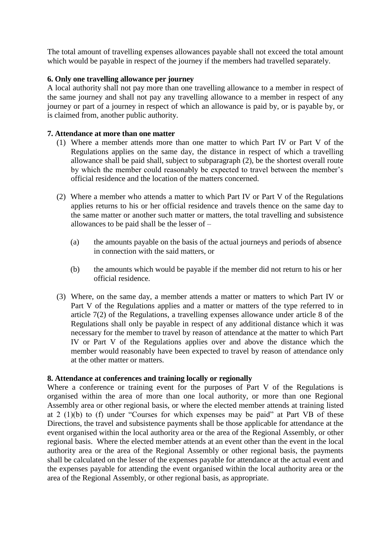The total amount of travelling expenses allowances payable shall not exceed the total amount which would be payable in respect of the journey if the members had travelled separately.

# **6. Only one travelling allowance per journey**

A local authority shall not pay more than one travelling allowance to a member in respect of the same journey and shall not pay any travelling allowance to a member in respect of any journey or part of a journey in respect of which an allowance is paid by, or is payable by, or is claimed from, another public authority.

# **7. Attendance at more than one matter**

- (1) Where a member attends more than one matter to which Part IV or Part V of the Regulations applies on the same day, the distance in respect of which a travelling allowance shall be paid shall, subject to subparagraph (2), be the shortest overall route by which the member could reasonably be expected to travel between the member's official residence and the location of the matters concerned.
- (2) Where a member who attends a matter to which Part IV or Part V of the Regulations applies returns to his or her official residence and travels thence on the same day to the same matter or another such matter or matters, the total travelling and subsistence allowances to be paid shall be the lesser of –
	- (a) the amounts payable on the basis of the actual journeys and periods of absence in connection with the said matters, or
	- (b) the amounts which would be payable if the member did not return to his or her official residence.
- (3) Where, on the same day, a member attends a matter or matters to which Part IV or Part V of the Regulations applies and a matter or matters of the type referred to in article 7(2) of the Regulations, a travelling expenses allowance under article 8 of the Regulations shall only be payable in respect of any additional distance which it was necessary for the member to travel by reason of attendance at the matter to which Part IV or Part V of the Regulations applies over and above the distance which the member would reasonably have been expected to travel by reason of attendance only at the other matter or matters.

### **8. Attendance at conferences and training locally or regionally**

Where a conference or training event for the purposes of Part V of the Regulations is organised within the area of more than one local authority, or more than one Regional Assembly area or other regional basis, or where the elected member attends at training listed at 2 (1)(b) to (f) under "Courses for which expenses may be paid" at Part VB of these Directions, the travel and subsistence payments shall be those applicable for attendance at the event organised within the local authority area or the area of the Regional Assembly, or other regional basis. Where the elected member attends at an event other than the event in the local authority area or the area of the Regional Assembly or other regional basis, the payments shall be calculated on the lesser of the expenses payable for attendance at the actual event and the expenses payable for attending the event organised within the local authority area or the area of the Regional Assembly, or other regional basis, as appropriate.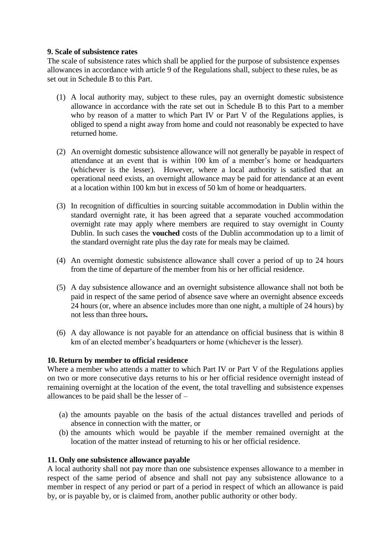## **9. Scale of subsistence rates**

The scale of subsistence rates which shall be applied for the purpose of subsistence expenses allowances in accordance with article 9 of the Regulations shall, subject to these rules, be as set out in Schedule B to this Part.

- (1) A local authority may, subject to these rules, pay an overnight domestic subsistence allowance in accordance with the rate set out in Schedule B to this Part to a member who by reason of a matter to which Part IV or Part V of the Regulations applies, is obliged to spend a night away from home and could not reasonably be expected to have returned home.
- (2) An overnight domestic subsistence allowance will not generally be payable in respect of attendance at an event that is within 100 km of a member's home or headquarters (whichever is the lesser). However, where a local authority is satisfied that an operational need exists, an overnight allowance may be paid for attendance at an event at a location within 100 km but in excess of 50 km of home or headquarters.
- (3) In recognition of difficulties in sourcing suitable accommodation in Dublin within the standard overnight rate, it has been agreed that a separate vouched accommodation overnight rate may apply where members are required to stay overnight in County Dublin. In such cases the **vouched** costs of the Dublin accommodation up to a limit of the standard overnight rate plus the day rate for meals may be claimed.
- (4) An overnight domestic subsistence allowance shall cover a period of up to 24 hours from the time of departure of the member from his or her official residence.
- (5) A day subsistence allowance and an overnight subsistence allowance shall not both be paid in respect of the same period of absence save where an overnight absence exceeds 24 hours (or, where an absence includes more than one night, a multiple of 24 hours) by not less than three hours**.**
- (6) A day allowance is not payable for an attendance on official business that is within 8 km of an elected member's headquarters or home (whichever is the lesser).

# **10. Return by member to official residence**

Where a member who attends a matter to which Part IV or Part V of the Regulations applies on two or more consecutive days returns to his or her official residence overnight instead of remaining overnight at the location of the event, the total travelling and subsistence expenses allowances to be paid shall be the lesser of –

- (a) the amounts payable on the basis of the actual distances travelled and periods of absence in connection with the matter, or
- (b) the amounts which would be payable if the member remained overnight at the location of the matter instead of returning to his or her official residence.

### **11. Only one subsistence allowance payable**

A local authority shall not pay more than one subsistence expenses allowance to a member in respect of the same period of absence and shall not pay any subsistence allowance to a member in respect of any period or part of a period in respect of which an allowance is paid by, or is payable by, or is claimed from, another public authority or other body.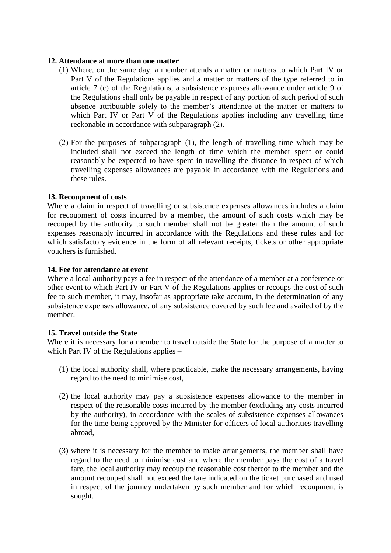### **12. Attendance at more than one matter**

- (1) Where, on the same day, a member attends a matter or matters to which Part IV or Part V of the Regulations applies and a matter or matters of the type referred to in article 7 (c) of the Regulations, a subsistence expenses allowance under article 9 of the Regulations shall only be payable in respect of any portion of such period of such absence attributable solely to the member's attendance at the matter or matters to which Part IV or Part V of the Regulations applies including any travelling time reckonable in accordance with subparagraph (2).
- (2) For the purposes of subparagraph (1), the length of travelling time which may be included shall not exceed the length of time which the member spent or could reasonably be expected to have spent in travelling the distance in respect of which travelling expenses allowances are payable in accordance with the Regulations and these rules.

# **13. Recoupment of costs**

Where a claim in respect of travelling or subsistence expenses allowances includes a claim for recoupment of costs incurred by a member, the amount of such costs which may be recouped by the authority to such member shall not be greater than the amount of such expenses reasonably incurred in accordance with the Regulations and these rules and for which satisfactory evidence in the form of all relevant receipts, tickets or other appropriate vouchers is furnished.

# **14. Fee for attendance at event**

Where a local authority pays a fee in respect of the attendance of a member at a conference or other event to which Part IV or Part V of the Regulations applies or recoups the cost of such fee to such member, it may, insofar as appropriate take account, in the determination of any subsistence expenses allowance, of any subsistence covered by such fee and availed of by the member.

### **15. Travel outside the State**

Where it is necessary for a member to travel outside the State for the purpose of a matter to which Part IV of the Regulations applies –

- (1) the local authority shall, where practicable, make the necessary arrangements, having regard to the need to minimise cost,
- (2) the local authority may pay a subsistence expenses allowance to the member in respect of the reasonable costs incurred by the member (excluding any costs incurred by the authority), in accordance with the scales of subsistence expenses allowances for the time being approved by the Minister for officers of local authorities travelling abroad,
- (3) where it is necessary for the member to make arrangements, the member shall have regard to the need to minimise cost and where the member pays the cost of a travel fare, the local authority may recoup the reasonable cost thereof to the member and the amount recouped shall not exceed the fare indicated on the ticket purchased and used in respect of the journey undertaken by such member and for which recoupment is sought.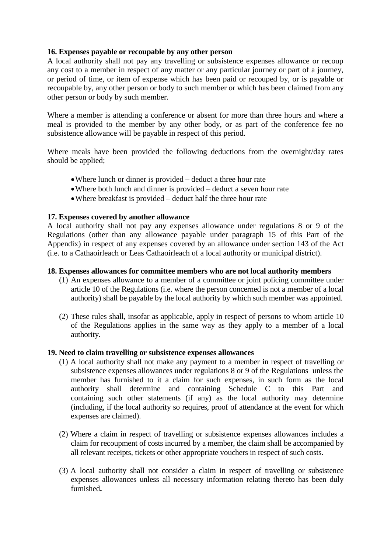## **16. Expenses payable or recoupable by any other person**

A local authority shall not pay any travelling or subsistence expenses allowance or recoup any cost to a member in respect of any matter or any particular journey or part of a journey, or period of time, or item of expense which has been paid or recouped by, or is payable or recoupable by, any other person or body to such member or which has been claimed from any other person or body by such member.

Where a member is attending a conference or absent for more than three hours and where a meal is provided to the member by any other body, or as part of the conference fee no subsistence allowance will be payable in respect of this period.

Where meals have been provided the following deductions from the overnight/day rates should be applied;

- Where lunch or dinner is provided deduct a three hour rate
- Where both lunch and dinner is provided deduct a seven hour rate
- Where breakfast is provided deduct half the three hour rate

### **17. Expenses covered by another allowance**

A local authority shall not pay any expenses allowance under regulations 8 or 9 of the Regulations (other than any allowance payable under paragraph 15 of this Part of the Appendix) in respect of any expenses covered by an allowance under section 143 of the Act (i.e. to a Cathaoirleach or Leas Cathaoirleach of a local authority or municipal district).

### **18. Expenses allowances for committee members who are not local authority members**

- (1) An expenses allowance to a member of a committee or joint policing committee under article 10 of the Regulations (i.e. where the person concerned is not a member of a local authority) shall be payable by the local authority by which such member was appointed.
- (2) These rules shall, insofar as applicable, apply in respect of persons to whom article 10 of the Regulations applies in the same way as they apply to a member of a local authority.

### **19. Need to claim travelling or subsistence expenses allowances**

- (1) A local authority shall not make any payment to a member in respect of travelling or subsistence expenses allowances under regulations 8 or 9 of the Regulations unless the member has furnished to it a claim for such expenses, in such form as the local authority shall determine and containing Schedule C to this Part and containing such other statements (if any) as the local authority may determine (including, if the local authority so requires, proof of attendance at the event for which expenses are claimed).
- (2) Where a claim in respect of travelling or subsistence expenses allowances includes a claim for recoupment of costs incurred by a member, the claim shall be accompanied by all relevant receipts, tickets or other appropriate vouchers in respect of such costs.
- (3) A local authority shall not consider a claim in respect of travelling or subsistence expenses allowances unless all necessary information relating thereto has been duly furnished**.**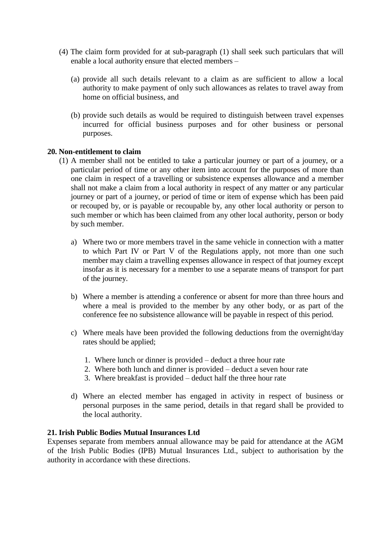- (4) The claim form provided for at sub-paragraph (1) shall seek such particulars that will enable a local authority ensure that elected members –
	- (a) provide all such details relevant to a claim as are sufficient to allow a local authority to make payment of only such allowances as relates to travel away from home on official business, and
	- (b) provide such details as would be required to distinguish between travel expenses incurred for official business purposes and for other business or personal purposes.

### **20. Non-entitlement to claim**

- (1) A member shall not be entitled to take a particular journey or part of a journey, or a particular period of time or any other item into account for the purposes of more than one claim in respect of a travelling or subsistence expenses allowance and a member shall not make a claim from a local authority in respect of any matter or any particular journey or part of a journey, or period of time or item of expense which has been paid or recouped by, or is payable or recoupable by, any other local authority or person to such member or which has been claimed from any other local authority, person or body by such member.
	- a) Where two or more members travel in the same vehicle in connection with a matter to which Part IV or Part V of the Regulations apply, not more than one such member may claim a travelling expenses allowance in respect of that journey except insofar as it is necessary for a member to use a separate means of transport for part of the journey.
	- b) Where a member is attending a conference or absent for more than three hours and where a meal is provided to the member by any other body, or as part of the conference fee no subsistence allowance will be payable in respect of this period.
	- c) Where meals have been provided the following deductions from the overnight/day rates should be applied;
		- 1. Where lunch or dinner is provided deduct a three hour rate
		- 2. Where both lunch and dinner is provided deduct a seven hour rate
		- 3. Where breakfast is provided deduct half the three hour rate
	- d) Where an elected member has engaged in activity in respect of business or personal purposes in the same period, details in that regard shall be provided to the local authority.

## **21. Irish Public Bodies Mutual Insurances Ltd**

Expenses separate from members annual allowance may be paid for attendance at the AGM of the Irish Public Bodies (IPB) Mutual Insurances Ltd., subject to authorisation by the authority in accordance with these directions.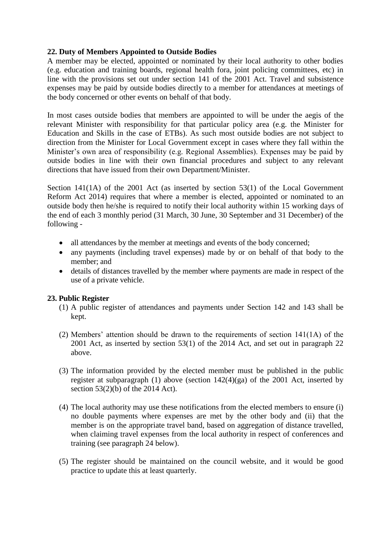# **22. Duty of Members Appointed to Outside Bodies**

A member may be elected, appointed or nominated by their local authority to other bodies (e.g. education and training boards, regional health fora, joint policing committees, etc) in line with the provisions set out under section 141 of the 2001 Act. Travel and subsistence expenses may be paid by outside bodies directly to a member for attendances at meetings of the body concerned or other events on behalf of that body.

In most cases outside bodies that members are appointed to will be under the aegis of the relevant Minister with responsibility for that particular policy area (e.g. the Minister for Education and Skills in the case of ETBs). As such most outside bodies are not subject to direction from the Minister for Local Government except in cases where they fall within the Minister's own area of responsibility (e.g. Regional Assemblies). Expenses may be paid by outside bodies in line with their own financial procedures and subject to any relevant directions that have issued from their own Department/Minister.

Section 141(1A) of the 2001 Act (as inserted by section 53(1) of the Local Government Reform Act 2014) requires that where a member is elected, appointed or nominated to an outside body then he/she is required to notify their local authority within 15 working days of the end of each 3 monthly period (31 March, 30 June, 30 September and 31 December) of the following -

- all attendances by the member at meetings and events of the body concerned;
- any payments (including travel expenses) made by or on behalf of that body to the member; and
- details of distances travelled by the member where payments are made in respect of the use of a private vehicle.

# **23. Public Register**

- (1) A public register of attendances and payments under Section 142 and 143 shall be kept.
- (2) Members' attention should be drawn to the requirements of section 141(1A) of the 2001 Act, as inserted by section 53(1) of the 2014 Act, and set out in paragraph 22 above.
- (3) The information provided by the elected member must be published in the public register at subparagraph (1) above (section 142(4)(ga) of the 2001 Act, inserted by section 53(2)(b) of the 2014 Act).
- (4) The local authority may use these notifications from the elected members to ensure (i) no double payments where expenses are met by the other body and (ii) that the member is on the appropriate travel band, based on aggregation of distance travelled, when claiming travel expenses from the local authority in respect of conferences and training (see paragraph 24 below).
- (5) The register should be maintained on the council website, and it would be good practice to update this at least quarterly.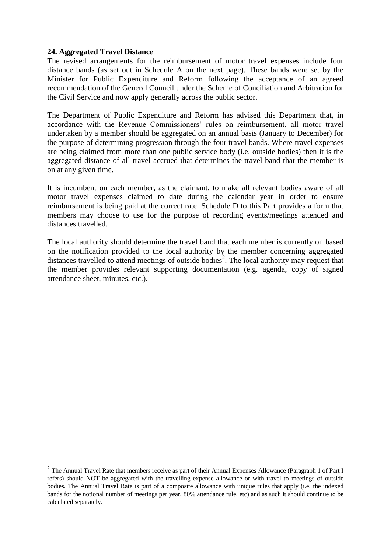# **24. Aggregated Travel Distance**

1

The revised arrangements for the reimbursement of motor travel expenses include four distance bands (as set out in Schedule A on the next page). These bands were set by the Minister for Public Expenditure and Reform following the acceptance of an agreed recommendation of the General Council under the Scheme of Conciliation and Arbitration for the Civil Service and now apply generally across the public sector.

The Department of Public Expenditure and Reform has advised this Department that, in accordance with the Revenue Commissioners' rules on reimbursement, all motor travel undertaken by a member should be aggregated on an annual basis (January to December) for the purpose of determining progression through the four travel bands. Where travel expenses are being claimed from more than one public service body (i.e. outside bodies) then it is the aggregated distance of all travel accrued that determines the travel band that the member is on at any given time.

It is incumbent on each member, as the claimant, to make all relevant bodies aware of all motor travel expenses claimed to date during the calendar year in order to ensure reimbursement is being paid at the correct rate. Schedule D to this Part provides a form that members may choose to use for the purpose of recording events/meetings attended and distances travelled.

The local authority should determine the travel band that each member is currently on based on the notification provided to the local authority by the member concerning aggregated distances travelled to attend meetings of outside bodies<sup>2</sup>. The local authority may request that the member provides relevant supporting documentation (e.g. agenda, copy of signed attendance sheet, minutes, etc.).

<sup>&</sup>lt;sup>2</sup> The Annual Travel Rate that members receive as part of their Annual Expenses Allowance (Paragraph 1 of Part I refers) should NOT be aggregated with the travelling expense allowance or with travel to meetings of outside bodies. The Annual Travel Rate is part of a composite allowance with unique rules that apply (i.e. the indexed bands for the notional number of meetings per year, 80% attendance rule, etc) and as such it should continue to be calculated separately.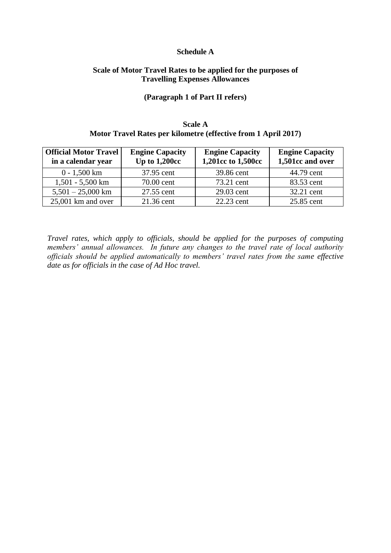#### **Schedule A**

# **Scale of Motor Travel Rates to be applied for the purposes of Travelling Expenses Allowances**

#### **(Paragraph 1 of Part II refers)**

## **Scale A Motor Travel Rates per kilometre (effective from 1 April 2017)**

| <b>Official Motor Travel</b><br>in a calendar year | <b>Engine Capacity</b><br>Up to $1,200cc$ | <b>Engine Capacity</b><br>1,201cc to 1,500cc | <b>Engine Capacity</b><br>1,501cc and over |
|----------------------------------------------------|-------------------------------------------|----------------------------------------------|--------------------------------------------|
| $0 - 1,500$ km                                     | 37.95 cent                                | 39.86 cent                                   | 44.79 cent                                 |
| $1,501 - 5,500$ km                                 | 70.00 cent                                | 73.21 cent                                   | 83.53 cent                                 |
| $5,501 - 25,000$ km                                | 27.55 cent                                | 29.03 cent                                   | 32.21 cent                                 |
| $25,001$ km and over                               | 21.36 cent                                | 22.23 cent                                   | 25.85 cent                                 |

*Travel rates, which apply to officials, should be applied for the purposes of computing members' annual allowances. In future any changes to the travel rate of local authority officials should be applied automatically to members' travel rates from the same effective date as for officials in the case of Ad Hoc travel.*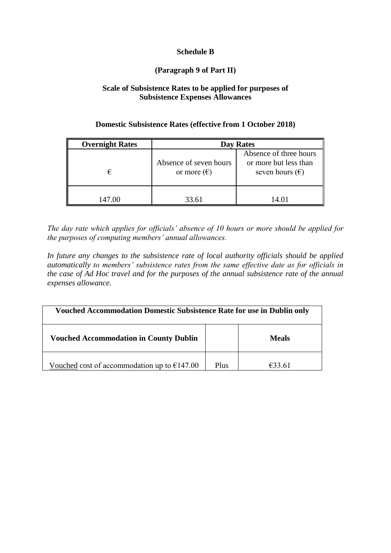# **Schedule B**

# **(Paragraph 9 of Part II)**

# **Scale of Subsistence Rates to be applied for purposes of Subsistence Expenses Allowances**

# **Domestic Subsistence Rates (effective from 1 October 2018)**

| <b>Overnight Rates</b> | Day Rates                                      |                                                                             |  |
|------------------------|------------------------------------------------|-----------------------------------------------------------------------------|--|
| €                      | Absence of seven hours<br>or more $(\epsilon)$ | Absence of three hours<br>or more but less than<br>seven hours $(\epsilon)$ |  |
| 147.00                 | 33.61                                          | 14.01                                                                       |  |

*The day rate which applies for officials' absence of 10 hours or more should be applied for the purposes of computing members' annual allowances.* 

*In future any changes to the subsistence rate of local authority officials should be applied automatically to members' subsistence rates from the same effective date as for officials in the case of Ad Hoc travel and for the purposes of the annual subsistence rate of the annual expenses allowance.* 

| <b>Vouched Accommodation Domestic Subsistence Rate for use in Dublin only</b> |      |        |  |
|-------------------------------------------------------------------------------|------|--------|--|
| <b>Vouched Accommodation in County Dublin</b><br><b>Meals</b>                 |      |        |  |
| Vouched cost of accommodation up to $E147.00$                                 | Plus | €33.61 |  |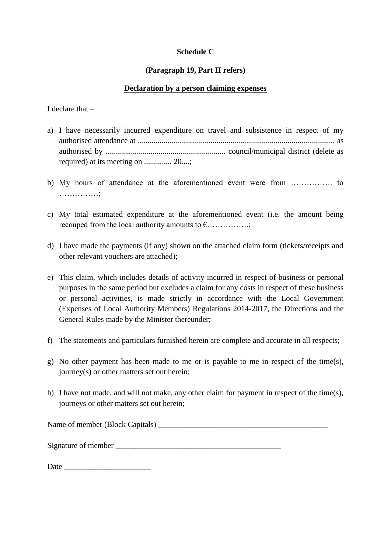# **Schedule C**

# **(Paragraph 19, Part II refers)**

# **Declaration by a person claiming expenses**

I declare that –

- a) I have necessarily incurred expenditure on travel and subsistence in respect of my authorised attendance at .................................................................................................... as authorised by ............................................................. council/municipal district (delete as required) at its meeting on .............. 20....;
- b) My hours of attendance at the aforementioned event were from ……………. to ……………;
- c) My total estimated expenditure at the aforementioned event (i.e. the amount being recouped from the local authority amounts to  $\epsilon$ ................;
- d) I have made the payments (if any) shown on the attached claim form (tickets/receipts and other relevant vouchers are attached);
- e) This claim, which includes details of activity incurred in respect of business or personal purposes in the same period but excludes a claim for any costs in respect of these business or personal activities, is made strictly in accordance with the Local Government (Expenses of Local Authority Members) Regulations 2014-2017, the Directions and the General Rules made by the Minister thereunder;
- f) The statements and particulars furnished herein are complete and accurate in all respects;
- g) No other payment has been made to me or is payable to me in respect of the time(s), journey(s) or other matters set out herein;
- h) I have not made, and will not make, any other claim for payment in respect of the time(s), journeys or other matters set out herein;

Name of member (Block Capitals) \_\_\_\_\_\_\_\_\_\_\_\_\_\_\_\_\_\_\_\_\_\_\_\_\_\_\_\_\_\_\_\_\_\_\_\_\_\_\_\_\_\_\_

Signature of member

Date \_\_\_\_\_\_\_\_\_\_\_\_\_\_\_\_\_\_\_\_\_\_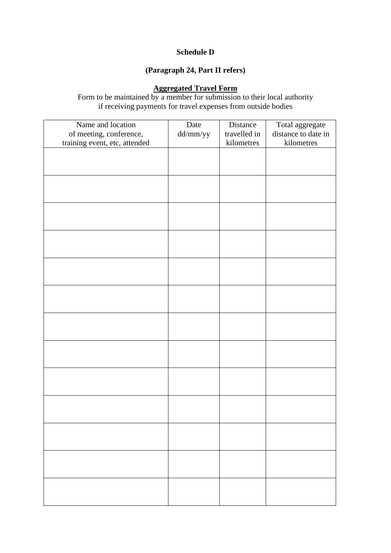# **Schedule D**

# **(Paragraph 24, Part II refers)**

### **Aggregated Travel Form**

Form to be maintained by a member for submission to their local authority if receiving payments for travel expenses from outside bodies

| Name and location             | Date     | Distance     | Total aggregate     |
|-------------------------------|----------|--------------|---------------------|
| of meeting, conference,       | dd/mm/yy | travelled in | distance to date in |
| training event, etc, attended |          | kilometres   | kilometres          |
|                               |          |              |                     |
|                               |          |              |                     |
|                               |          |              |                     |
|                               |          |              |                     |
|                               |          |              |                     |
|                               |          |              |                     |
|                               |          |              |                     |
|                               |          |              |                     |
|                               |          |              |                     |
|                               |          |              |                     |
|                               |          |              |                     |
|                               |          |              |                     |
|                               |          |              |                     |
|                               |          |              |                     |
|                               |          |              |                     |
|                               |          |              |                     |
|                               |          |              |                     |
|                               |          |              |                     |
|                               |          |              |                     |
|                               |          |              |                     |
|                               |          |              |                     |
|                               |          |              |                     |
|                               |          |              |                     |
|                               |          |              |                     |
|                               |          |              |                     |
|                               |          |              |                     |
|                               |          |              |                     |
|                               |          |              |                     |
|                               |          |              |                     |
|                               |          |              |                     |
|                               |          |              |                     |
|                               |          |              |                     |
|                               |          |              |                     |
|                               |          |              |                     |
|                               |          |              |                     |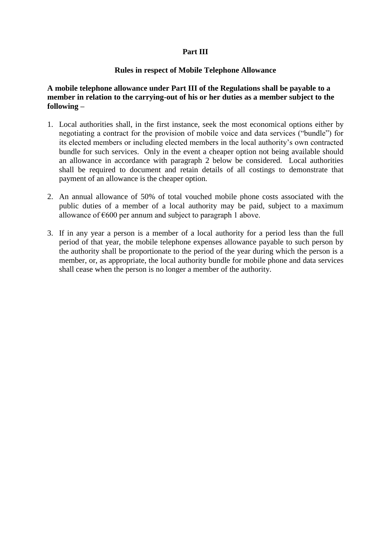# **Part III**

### **Rules in respect of Mobile Telephone Allowance**

**A mobile telephone allowance under Part III of the Regulations shall be payable to a member in relation to the carrying-out of his or her duties as a member subject to the following –**

- 1. Local authorities shall, in the first instance, seek the most economical options either by negotiating a contract for the provision of mobile voice and data services ("bundle") for its elected members or including elected members in the local authority's own contracted bundle for such services. Only in the event a cheaper option not being available should an allowance in accordance with paragraph 2 below be considered. Local authorities shall be required to document and retain details of all costings to demonstrate that payment of an allowance is the cheaper option.
- 2. An annual allowance of 50% of total vouched mobile phone costs associated with the public duties of a member of a local authority may be paid, subject to a maximum allowance of  $\epsilon$ 600 per annum and subject to paragraph 1 above.
- 3. If in any year a person is a member of a local authority for a period less than the full period of that year, the mobile telephone expenses allowance payable to such person by the authority shall be proportionate to the period of the year during which the person is a member, or, as appropriate, the local authority bundle for mobile phone and data services shall cease when the person is no longer a member of the authority.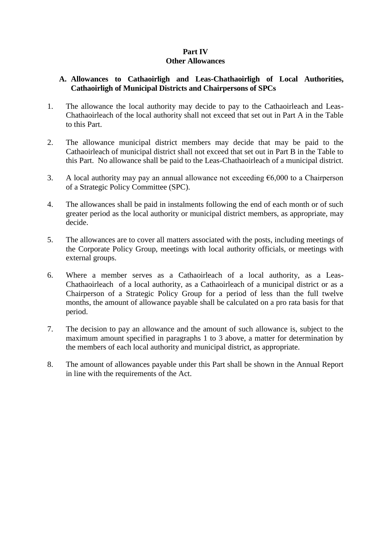## **Part IV Other Allowances**

# **A. Allowances to Cathaoirligh and Leas-Chathaoirligh of Local Authorities, Cathaoirligh of Municipal Districts and Chairpersons of SPCs**

- 1. The allowance the local authority may decide to pay to the Cathaoirleach and Leas-Chathaoirleach of the local authority shall not exceed that set out in Part A in the Table to this Part.
- 2. The allowance municipal district members may decide that may be paid to the Cathaoirleach of municipal district shall not exceed that set out in Part B in the Table to this Part. No allowance shall be paid to the Leas-Chathaoirleach of a municipal district.
- 3. A local authority may pay an annual allowance not exceeding  $\epsilon$ 6,000 to a Chairperson of a Strategic Policy Committee (SPC).
- 4. The allowances shall be paid in instalments following the end of each month or of such greater period as the local authority or municipal district members, as appropriate, may decide.
- 5. The allowances are to cover all matters associated with the posts, including meetings of the Corporate Policy Group, meetings with local authority officials, or meetings with external groups.
- 6. Where a member serves as a Cathaoirleach of a local authority, as a Leas-Chathaoirleach of a local authority, as a Cathaoirleach of a municipal district or as a Chairperson of a Strategic Policy Group for a period of less than the full twelve months, the amount of allowance payable shall be calculated on a pro rata basis for that period.
- 7. The decision to pay an allowance and the amount of such allowance is, subject to the maximum amount specified in paragraphs 1 to 3 above, a matter for determination by the members of each local authority and municipal district, as appropriate.
- 8. The amount of allowances payable under this Part shall be shown in the Annual Report in line with the requirements of the Act.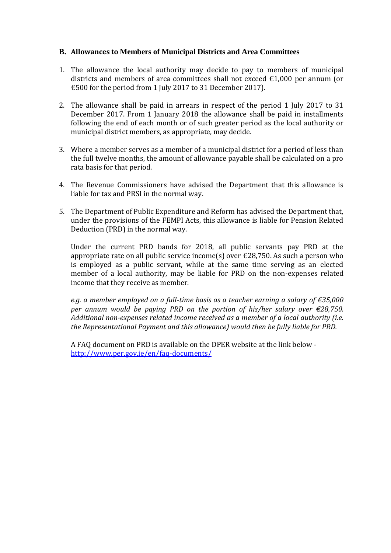# **B. Allowances to Members of Municipal Districts and Area Committees**

- 1. The allowance the local authority may decide to pay to members of municipal districts and members of area committees shall not exceed €1,000 per annum (or €500 for the period from 1 July 2017 to 31 December 2017).
- 2. The allowance shall be paid in arrears in respect of the period 1 July 2017 to 31 December 2017. From 1 January 2018 the allowance shall be paid in installments following the end of each month or of such greater period as the local authority or municipal district members, as appropriate, may decide.
- 3. Where a member serves as a member of a municipal district for a period of less than the full twelve months, the amount of allowance payable shall be calculated on a pro rata basis for that period.
- 4. The Revenue Commissioners have advised the Department that this allowance is liable for tax and PRSI in the normal way.
- 5. The Department of Public Expenditure and Reform has advised the Department that, under the provisions of the FEMPI Acts, this allowance is liable for Pension Related Deduction (PRD) in the normal way.

Under the current PRD bands for 2018, all public servants pay PRD at the appropriate rate on all public service income(s) over  $\epsilon$ 28,750. As such a person who is employed as a public servant, while at the same time serving as an elected member of a local authority, may be liable for PRD on the non-expenses related income that they receive as member.

*e.g. a member employed on a full-time basis as a teacher earning a salary of €35,000 per annum would be paying PRD on the portion of his/her salary over €28,750. Additional non-expenses related income received as a member of a local authority (i.e. the Representational Payment and this allowance) would then be fully liable for PRD.* 

A FAQ document on PRD is available on the DPER website at the link below <http://www.per.gov.ie/en/faq-documents/>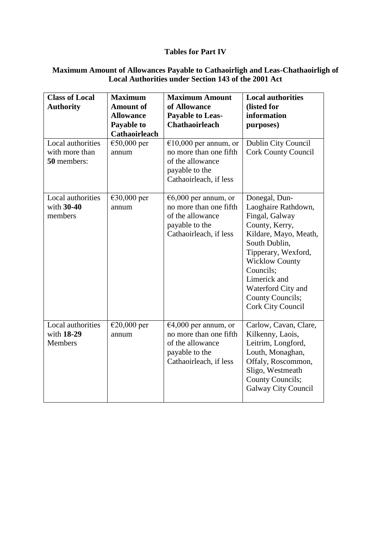# **Tables for Part IV**

## **Maximum Amount of Allowances Payable to Cathaoirligh and Leas-Chathaoirligh of Local Authorities under Section 143 of the 2001 Act**

| <b>Class of Local</b><br><b>Authority</b><br>Local authorities | <b>Maximum</b><br><b>Amount of</b><br><b>Allowance</b><br>Payable to<br><b>Cathaoirleach</b><br>$€50,000$ per | <b>Maximum Amount</b><br>of Allowance<br><b>Payable to Leas-</b><br><b>Chathaoirleach</b><br>$€10,000$ per annum, or     | <b>Local authorities</b><br>(listed for<br>information<br>purposes)<br>Dublin City Council                                                                                                                                                                            |
|----------------------------------------------------------------|---------------------------------------------------------------------------------------------------------------|--------------------------------------------------------------------------------------------------------------------------|-----------------------------------------------------------------------------------------------------------------------------------------------------------------------------------------------------------------------------------------------------------------------|
| with more than<br>50 members:                                  | annum                                                                                                         | no more than one fifth<br>of the allowance<br>payable to the<br>Cathaoirleach, if less                                   | <b>Cork County Council</b>                                                                                                                                                                                                                                            |
| Local authorities<br>with $30-40$<br>members                   | €30,000 per<br>annum                                                                                          | $\epsilon$ 6,000 per annum, or<br>no more than one fifth<br>of the allowance<br>payable to the<br>Cathaoirleach, if less | Donegal, Dun-<br>Laoghaire Rathdown,<br>Fingal, Galway<br>County, Kerry,<br>Kildare, Mayo, Meath,<br>South Dublin,<br>Tipperary, Wexford,<br><b>Wicklow County</b><br>Councils;<br>Limerick and<br>Waterford City and<br>County Councils;<br><b>Cork City Council</b> |
| Local authorities<br>with 18-29<br>Members                     | $\epsilon$ 20,000 per<br>annum                                                                                | $€4,000$ per annum, or<br>no more than one fifth<br>of the allowance<br>payable to the<br>Cathaoirleach, if less         | Carlow, Cavan, Clare,<br>Kilkenny, Laois,<br>Leitrim, Longford,<br>Louth, Monaghan,<br>Offaly, Roscommon,<br>Sligo, Westmeath<br>County Councils;<br><b>Galway City Council</b>                                                                                       |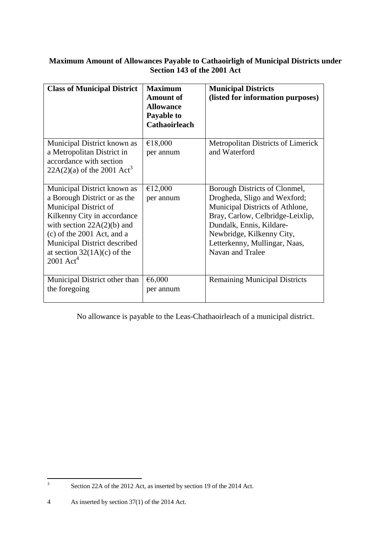# **Maximum Amount of Allowances Payable to Cathaoirligh of Municipal Districts under Section 143 of the 2001 Act**

| <b>Class of Municipal District</b>                                                                                                                                                                                                                                              | <b>Maximum</b><br><b>Amount of</b><br><b>Allowance</b><br>Payable to<br><b>Cathaoirleach</b> | <b>Municipal Districts</b><br>(listed for information purposes)                                                                                                                                                                                    |
|---------------------------------------------------------------------------------------------------------------------------------------------------------------------------------------------------------------------------------------------------------------------------------|----------------------------------------------------------------------------------------------|----------------------------------------------------------------------------------------------------------------------------------------------------------------------------------------------------------------------------------------------------|
| Municipal District known as<br>a Metropolitan District in<br>accordance with section<br>$22A(2)(a)$ of the 2001 Act <sup>3</sup>                                                                                                                                                | €18,000<br>per annum                                                                         | <b>Metropolitan Districts of Limerick</b><br>and Waterford                                                                                                                                                                                         |
| Municipal District known as<br>a Borough District or as the<br>Municipal District of<br>Kilkenny City in accordance<br>with section $22A(2)(b)$ and<br>$(c)$ of the 2001 Act, and a<br>Municipal District described<br>at section $32(1A)(c)$ of the<br>$2001$ Act <sup>4</sup> | €12,000<br>per annum                                                                         | Borough Districts of Clonmel,<br>Drogheda, Sligo and Wexford;<br>Municipal Districts of Athlone,<br>Bray, Carlow, Celbridge-Leixlip,<br>Dundalk, Ennis, Kildare-<br>Newbridge, Kilkenny City,<br>Letterkenny, Mullingar, Naas,<br>Navan and Tralee |
| Municipal District other than<br>the foregoing                                                                                                                                                                                                                                  | € $6,000$<br>per annum                                                                       | <b>Remaining Municipal Districts</b>                                                                                                                                                                                                               |

No allowance is payable to the Leas-Chathaoirleach of a municipal district.

<sup>-&</sup>lt;br>3 Section 22A of the 2012 Act, as inserted by section 19 of the 2014 Act.

<sup>4</sup> As inserted by section 37(1) of the 2014 Act.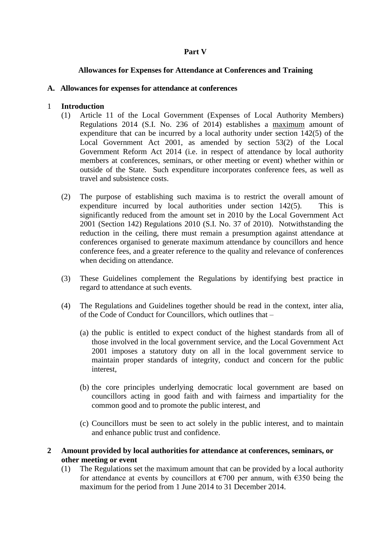# **Part V**

## **Allowances for Expenses for Attendance at Conferences and Training**

## **A. Allowances for expenses for attendance at conferences**

## 1 **Introduction**

- (1) Article 11 of the Local Government (Expenses of Local Authority Members) Regulations 2014 (S.I. No. 236 of 2014) establishes a maximum amount of expenditure that can be incurred by a local authority under section 142(5) of the Local Government Act 2001, as amended by section 53(2) of the Local Government Reform Act 2014 (i.e. in respect of attendance by local authority members at conferences, seminars, or other meeting or event) whether within or outside of the State. Such expenditure incorporates conference fees, as well as travel and subsistence costs.
- (2) The purpose of establishing such maxima is to restrict the overall amount of expenditure incurred by local authorities under section 142(5). This is significantly reduced from the amount set in 2010 by the Local Government Act 2001 (Section 142) Regulations 2010 (S.I. No. 37 of 2010). Notwithstanding the reduction in the ceiling, there must remain a presumption against attendance at conferences organised to generate maximum attendance by councillors and hence conference fees, and a greater reference to the quality and relevance of conferences when deciding on attendance.
- (3) These Guidelines complement the Regulations by identifying best practice in regard to attendance at such events.
- (4) The Regulations and Guidelines together should be read in the context, inter alia, of the Code of Conduct for Councillors, which outlines that –
	- (a) the public is entitled to expect conduct of the highest standards from all of those involved in the local government service, and the Local Government Act 2001 imposes a statutory duty on all in the local government service to maintain proper standards of integrity, conduct and concern for the public interest,
	- (b) the core principles underlying democratic local government are based on councillors acting in good faith and with fairness and impartiality for the common good and to promote the public interest, and
	- (c) Councillors must be seen to act solely in the public interest, and to maintain and enhance public trust and confidence.
- **2 Amount provided by local authorities for attendance at conferences, seminars, or other meeting or event**
	- (1) The Regulations set the maximum amount that can be provided by a local authority for attendance at events by councillors at  $\epsilon$ 700 per annum, with  $\epsilon$ 350 being the maximum for the period from 1 June 2014 to 31 December 2014.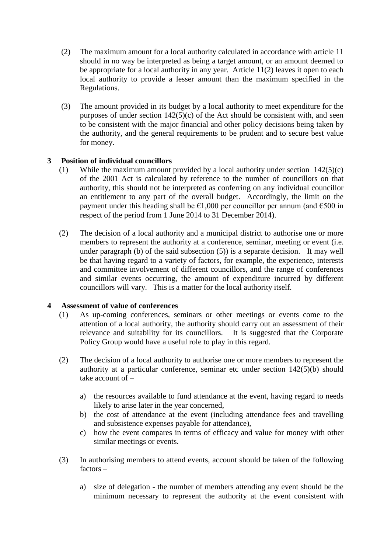- (2) The maximum amount for a local authority calculated in accordance with article 11 should in no way be interpreted as being a target amount, or an amount deemed to be appropriate for a local authority in any year. Article 11(2) leaves it open to each local authority to provide a lesser amount than the maximum specified in the Regulations.
- (3) The amount provided in its budget by a local authority to meet expenditure for the purposes of under section  $142(5)(c)$  of the Act should be consistent with, and seen to be consistent with the major financial and other policy decisions being taken by the authority, and the general requirements to be prudent and to secure best value for money.

# **3 Position of individual councillors**

- (1) While the maximum amount provided by a local authority under section 142(5)(c) of the 2001 Act is calculated by reference to the number of councillors on that authority, this should not be interpreted as conferring on any individual councillor an entitlement to any part of the overall budget. Accordingly, the limit on the payment under this heading shall be  $\epsilon$ 1,000 per councillor per annum (and  $\epsilon$ 500 in respect of the period from 1 June 2014 to 31 December 2014).
- (2) The decision of a local authority and a municipal district to authorise one or more members to represent the authority at a conference, seminar, meeting or event (i.e. under paragraph (b) of the said subsection (5)) is a separate decision. It may well be that having regard to a variety of factors, for example, the experience, interests and committee involvement of different councillors, and the range of conferences and similar events occurring, the amount of expenditure incurred by different councillors will vary. This is a matter for the local authority itself.

# **4 Assessment of value of conferences**

- (1) As up-coming conferences, seminars or other meetings or events come to the attention of a local authority, the authority should carry out an assessment of their relevance and suitability for its councillors. It is suggested that the Corporate Policy Group would have a useful role to play in this regard.
- (2) The decision of a local authority to authorise one or more members to represent the authority at a particular conference, seminar etc under section 142(5)(b) should take account of –
	- a) the resources available to fund attendance at the event, having regard to needs likely to arise later in the year concerned,
	- b) the cost of attendance at the event (including attendance fees and travelling and subsistence expenses payable for attendance),
	- c) how the event compares in terms of efficacy and value for money with other similar meetings or events.
- (3) In authorising members to attend events, account should be taken of the following factors –
	- a) size of delegation the number of members attending any event should be the minimum necessary to represent the authority at the event consistent with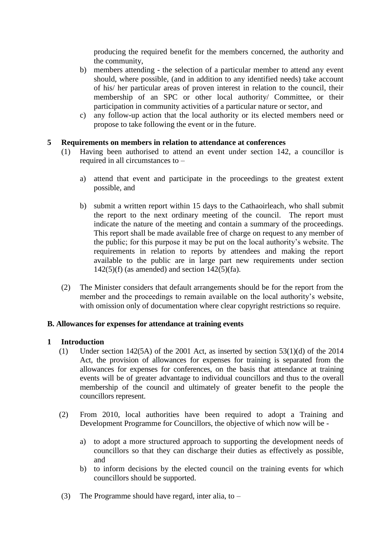producing the required benefit for the members concerned, the authority and the community,

- b) members attending the selection of a particular member to attend any event should, where possible, (and in addition to any identified needs) take account of his/ her particular areas of proven interest in relation to the council, their membership of an SPC or other local authority/ Committee, or their participation in community activities of a particular nature or sector, and
- c) any follow-up action that the local authority or its elected members need or propose to take following the event or in the future.

# **5 Requirements on members in relation to attendance at conferences**

- (1) Having been authorised to attend an event under section 142, a councillor is required in all circumstances to –
	- a) attend that event and participate in the proceedings to the greatest extent possible, and
	- b) submit a written report within 15 days to the Cathaoirleach, who shall submit the report to the next ordinary meeting of the council. The report must indicate the nature of the meeting and contain a summary of the proceedings. This report shall be made available free of charge on request to any member of the public; for this purpose it may be put on the local authority's website. The requirements in relation to reports by attendees and making the report available to the public are in large part new requirements under section  $142(5)(f)$  (as amended) and section  $142(5)(fa)$ .
- (2) The Minister considers that default arrangements should be for the report from the member and the proceedings to remain available on the local authority's website, with omission only of documentation where clear copyright restrictions so require.

### **B. Allowances for expenses for attendance at training events**

### **1 Introduction**

- (1) Under section 142(5A) of the 2001 Act, as inserted by section 53(1)(d) of the 2014 Act, the provision of allowances for expenses for training is separated from the allowances for expenses for conferences, on the basis that attendance at training events will be of greater advantage to individual councillors and thus to the overall membership of the council and ultimately of greater benefit to the people the councillors represent.
- (2) From 2010, local authorities have been required to adopt a Training and Development Programme for Councillors, the objective of which now will be
	- a) to adopt a more structured approach to supporting the development needs of councillors so that they can discharge their duties as effectively as possible, and
	- b) to inform decisions by the elected council on the training events for which councillors should be supported.
- (3) The Programme should have regard, inter alia, to  $-$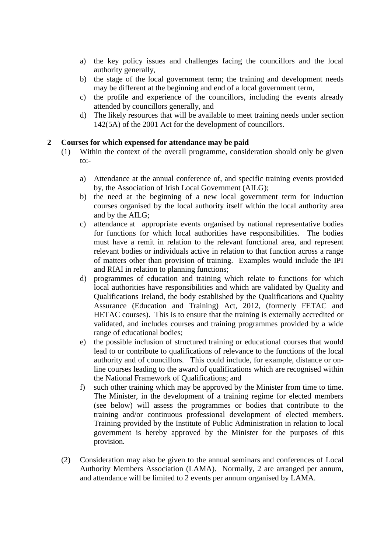- a) the key policy issues and challenges facing the councillors and the local authority generally,
- b) the stage of the local government term; the training and development needs may be different at the beginning and end of a local government term,
- c) the profile and experience of the councillors, including the events already attended by councillors generally, and
- d) The likely resources that will be available to meet training needs under section 142(5A) of the 2001 Act for the development of councillors.

# **2 Courses for which expensed for attendance may be paid**

- (1) Within the context of the overall programme, consideration should only be given  $to:$ 
	- a) Attendance at the annual conference of, and specific training events provided by, the Association of Irish Local Government (AILG);
	- b) the need at the beginning of a new local government term for induction courses organised by the local authority itself within the local authority area and by the AILG;
	- c) attendance at appropriate events organised by national representative bodies for functions for which local authorities have responsibilities. The bodies must have a remit in relation to the relevant functional area, and represent relevant bodies or individuals active in relation to that function across a range of matters other than provision of training. Examples would include the IPI and RIAI in relation to planning functions;
	- d) programmes of education and training which relate to functions for which local authorities have responsibilities and which are validated by Quality and Qualifications Ireland, the body established by the Qualifications and Quality Assurance (Education and Training) Act, 2012, (formerly FETAC and HETAC courses). This is to ensure that the training is externally accredited or validated, and includes courses and training programmes provided by a wide range of educational bodies;
	- e) the possible inclusion of structured training or educational courses that would lead to or contribute to qualifications of relevance to the functions of the local authority and of councillors. This could include, for example, distance or online courses leading to the award of qualifications which are recognised within the National Framework of Qualifications; and
	- f) such other training which may be approved by the Minister from time to time. The Minister, in the development of a training regime for elected members (see below) will assess the programmes or bodies that contribute to the training and/or continuous professional development of elected members. Training provided by the Institute of Public Administration in relation to local government is hereby approved by the Minister for the purposes of this provision.
- (2) Consideration may also be given to the annual seminars and conferences of Local Authority Members Association (LAMA). Normally, 2 are arranged per annum, and attendance will be limited to 2 events per annum organised by LAMA.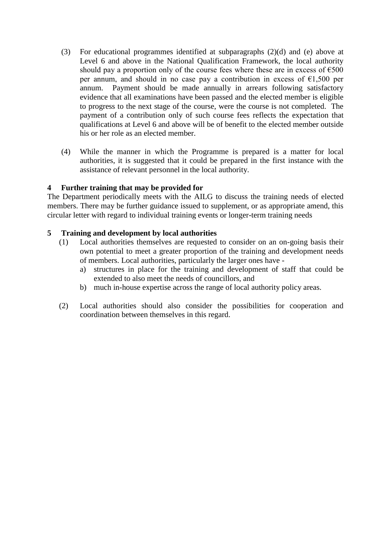- (3) For educational programmes identified at subparagraphs (2)(d) and (e) above at Level 6 and above in the National Qualification Framework, the local authority should pay a proportion only of the course fees where these are in excess of  $\epsilon$ 500 per annum, and should in no case pay a contribution in excess of  $E1,500$  per annum. Payment should be made annually in arrears following satisfactory evidence that all examinations have been passed and the elected member is eligible to progress to the next stage of the course, were the course is not completed. The payment of a contribution only of such course fees reflects the expectation that qualifications at Level 6 and above will be of benefit to the elected member outside his or her role as an elected member.
- (4) While the manner in which the Programme is prepared is a matter for local authorities, it is suggested that it could be prepared in the first instance with the assistance of relevant personnel in the local authority.

# **4 Further training that may be provided for**

The Department periodically meets with the AILG to discuss the training needs of elected members. There may be further guidance issued to supplement, or as appropriate amend, this circular letter with regard to individual training events or longer-term training needs

### **5 Training and development by local authorities**

- (1) Local authorities themselves are requested to consider on an on-going basis their own potential to meet a greater proportion of the training and development needs of members. Local authorities, particularly the larger ones have
	- a) structures in place for the training and development of staff that could be extended to also meet the needs of councillors, and
	- b) much in-house expertise across the range of local authority policy areas.
- (2) Local authorities should also consider the possibilities for cooperation and coordination between themselves in this regard.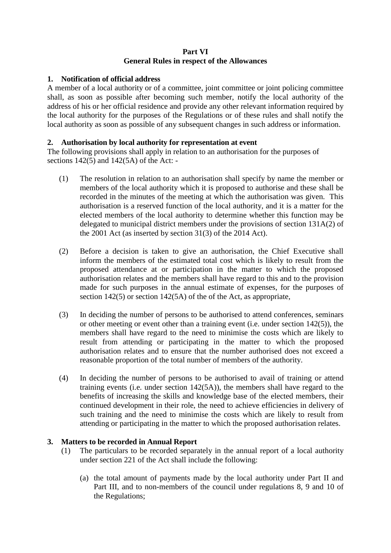# **Part VI General Rules in respect of the Allowances**

# **1. Notification of official address**

A member of a local authority or of a committee, joint committee or joint policing committee shall, as soon as possible after becoming such member, notify the local authority of the address of his or her official residence and provide any other relevant information required by the local authority for the purposes of the Regulations or of these rules and shall notify the local authority as soon as possible of any subsequent changes in such address or information.

# **2. Authorisation by local authority for representation at event**

The following provisions shall apply in relation to an authorisation for the purposes of sections  $142(5)$  and  $142(5A)$  of the Act: -

- (1) The resolution in relation to an authorisation shall specify by name the member or members of the local authority which it is proposed to authorise and these shall be recorded in the minutes of the meeting at which the authorisation was given. This authorisation is a reserved function of the local authority, and it is a matter for the elected members of the local authority to determine whether this function may be delegated to municipal district members under the provisions of section 131A(2) of the 2001 Act (as inserted by section 31(3) of the 2014 Act).
- (2) Before a decision is taken to give an authorisation, the Chief Executive shall inform the members of the estimated total cost which is likely to result from the proposed attendance at or participation in the matter to which the proposed authorisation relates and the members shall have regard to this and to the provision made for such purposes in the annual estimate of expenses, for the purposes of section 142(5) or section 142(5A) of the of the Act, as appropriate,
- (3) In deciding the number of persons to be authorised to attend conferences, seminars or other meeting or event other than a training event (i.e. under section 142(5)), the members shall have regard to the need to minimise the costs which are likely to result from attending or participating in the matter to which the proposed authorisation relates and to ensure that the number authorised does not exceed a reasonable proportion of the total number of members of the authority.
- (4) In deciding the number of persons to be authorised to avail of training or attend training events (i.e. under section 142(5A)), the members shall have regard to the benefits of increasing the skills and knowledge base of the elected members, their continued development in their role, the need to achieve efficiencies in delivery of such training and the need to minimise the costs which are likely to result from attending or participating in the matter to which the proposed authorisation relates.

# **3. Matters to be recorded in Annual Report**

- (1) The particulars to be recorded separately in the annual report of a local authority under section 221 of the Act shall include the following:
	- (a) the total amount of payments made by the local authority under Part II and Part III, and to non-members of the council under regulations 8, 9 and 10 of the Regulations;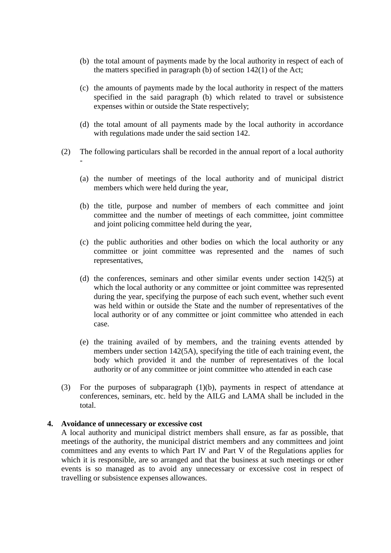- (b) the total amount of payments made by the local authority in respect of each of the matters specified in paragraph (b) of section 142(1) of the Act;
- (c) the amounts of payments made by the local authority in respect of the matters specified in the said paragraph (b) which related to travel or subsistence expenses within or outside the State respectively;
- (d) the total amount of all payments made by the local authority in accordance with regulations made under the said section 142.
- (2) The following particulars shall be recorded in the annual report of a local authority -
	- (a) the number of meetings of the local authority and of municipal district members which were held during the year,
	- (b) the title, purpose and number of members of each committee and joint committee and the number of meetings of each committee, joint committee and joint policing committee held during the year,
	- (c) the public authorities and other bodies on which the local authority or any committee or joint committee was represented and the names of such representatives,
	- (d) the conferences, seminars and other similar events under section 142(5) at which the local authority or any committee or joint committee was represented during the year, specifying the purpose of each such event, whether such event was held within or outside the State and the number of representatives of the local authority or of any committee or joint committee who attended in each case.
	- (e) the training availed of by members, and the training events attended by members under section 142(5A), specifying the title of each training event, the body which provided it and the number of representatives of the local authority or of any committee or joint committee who attended in each case
- (3) For the purposes of subparagraph (1)(b), payments in respect of attendance at conferences, seminars, etc. held by the AILG and LAMA shall be included in the total.

#### **4. Avoidance of unnecessary or excessive cost**

A local authority and municipal district members shall ensure, as far as possible, that meetings of the authority, the municipal district members and any committees and joint committees and any events to which Part IV and Part V of the Regulations applies for which it is responsible, are so arranged and that the business at such meetings or other events is so managed as to avoid any unnecessary or excessive cost in respect of travelling or subsistence expenses allowances.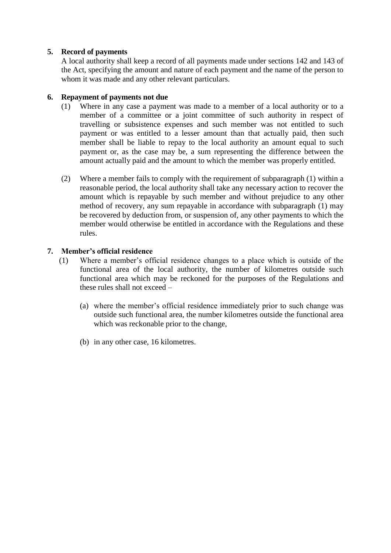# **5. Record of payments**

A local authority shall keep a record of all payments made under sections 142 and 143 of the Act, specifying the amount and nature of each payment and the name of the person to whom it was made and any other relevant particulars.

# **6. Repayment of payments not due**

- (1) Where in any case a payment was made to a member of a local authority or to a member of a committee or a joint committee of such authority in respect of travelling or subsistence expenses and such member was not entitled to such payment or was entitled to a lesser amount than that actually paid, then such member shall be liable to repay to the local authority an amount equal to such payment or, as the case may be, a sum representing the difference between the amount actually paid and the amount to which the member was properly entitled.
- (2) Where a member fails to comply with the requirement of subparagraph (1) within a reasonable period, the local authority shall take any necessary action to recover the amount which is repayable by such member and without prejudice to any other method of recovery, any sum repayable in accordance with subparagraph (1) may be recovered by deduction from, or suspension of, any other payments to which the member would otherwise be entitled in accordance with the Regulations and these rules.

# **7. Member's official residence**

- (1) Where a member's official residence changes to a place which is outside of the functional area of the local authority, the number of kilometres outside such functional area which may be reckoned for the purposes of the Regulations and these rules shall not exceed –
	- (a) where the member's official residence immediately prior to such change was outside such functional area, the number kilometres outside the functional area which was reckonable prior to the change,
	- (b) in any other case, 16 kilometres.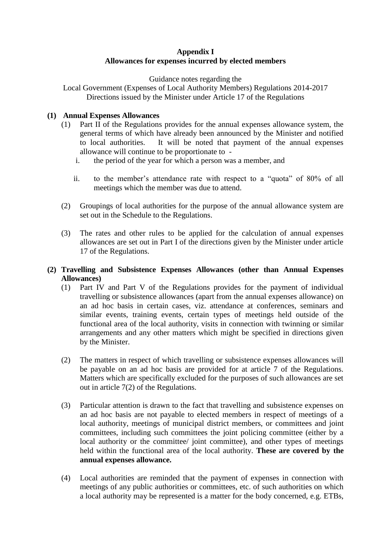# **Appendix I Allowances for expenses incurred by elected members**

Guidance notes regarding the

Local Government (Expenses of Local Authority Members) Regulations 2014-2017 Directions issued by the Minister under Article 17 of the Regulations

# **(1) Annual Expenses Allowances**

- (1) Part II of the Regulations provides for the annual expenses allowance system, the general terms of which have already been announced by the Minister and notified to local authorities. It will be noted that payment of the annual expenses allowance will continue to be proportionate to
	- i. the period of the year for which a person was a member, and
	- ii. to the member's attendance rate with respect to a "quota" of 80% of all meetings which the member was due to attend.
- (2) Groupings of local authorities for the purpose of the annual allowance system are set out in the Schedule to the Regulations.
- (3) The rates and other rules to be applied for the calculation of annual expenses allowances are set out in Part I of the directions given by the Minister under article 17 of the Regulations.

# **(2) Travelling and Subsistence Expenses Allowances (other than Annual Expenses Allowances)**

- (1) Part IV and Part V of the Regulations provides for the payment of individual travelling or subsistence allowances (apart from the annual expenses allowance) on an ad hoc basis in certain cases, viz. attendance at conferences, seminars and similar events, training events, certain types of meetings held outside of the functional area of the local authority, visits in connection with twinning or similar arrangements and any other matters which might be specified in directions given by the Minister.
- (2) The matters in respect of which travelling or subsistence expenses allowances will be payable on an ad hoc basis are provided for at article 7 of the Regulations. Matters which are specifically excluded for the purposes of such allowances are set out in article 7(2) of the Regulations.
- (3) Particular attention is drawn to the fact that travelling and subsistence expenses on an ad hoc basis are not payable to elected members in respect of meetings of a local authority, meetings of municipal district members, or committees and joint committees, including such committees the joint policing committee (either by a local authority or the committee/ joint committee), and other types of meetings held within the functional area of the local authority. **These are covered by the annual expenses allowance.**
- (4) Local authorities are reminded that the payment of expenses in connection with meetings of any public authorities or committees, etc. of such authorities on which a local authority may be represented is a matter for the body concerned, e.g. ETBs,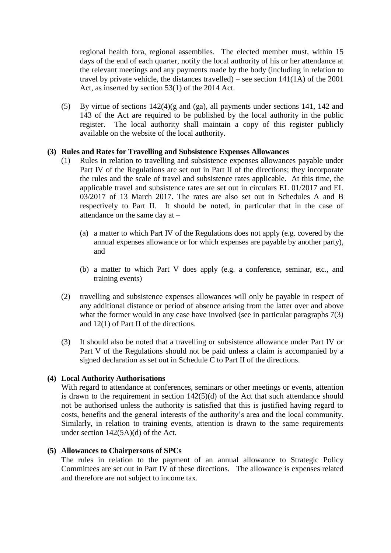regional health fora, regional assemblies. The elected member must, within 15 days of the end of each quarter, notify the local authority of his or her attendance at the relevant meetings and any payments made by the body (including in relation to travel by private vehicle, the distances travelled) – see section  $141(1\text{A})$  of the 2001 Act, as inserted by section 53(1) of the 2014 Act.

(5) By virtue of sections 142(4)(g and (ga), all payments under sections 141, 142 and 143 of the Act are required to be published by the local authority in the public register. The local authority shall maintain a copy of this register publicly available on the website of the local authority.

# **(3) Rules and Rates for Travelling and Subsistence Expenses Allowances**

- (1) Rules in relation to travelling and subsistence expenses allowances payable under Part IV of the Regulations are set out in Part II of the directions; they incorporate the rules and the scale of travel and subsistence rates applicable. At this time, the applicable travel and subsistence rates are set out in circulars EL 01/2017 and EL 03/2017 of 13 March 2017. The rates are also set out in Schedules A and B respectively to Part II. It should be noted, in particular that in the case of attendance on the same day at –
	- (a) a matter to which Part IV of the Regulations does not apply (e.g. covered by the annual expenses allowance or for which expenses are payable by another party), and
	- (b) a matter to which Part V does apply (e.g. a conference, seminar, etc., and training events)
- (2) travelling and subsistence expenses allowances will only be payable in respect of any additional distance or period of absence arising from the latter over and above what the former would in any case have involved (see in particular paragraphs 7(3) and 12(1) of Part II of the directions.
- (3) It should also be noted that a travelling or subsistence allowance under Part IV or Part V of the Regulations should not be paid unless a claim is accompanied by a signed declaration as set out in Schedule C to Part II of the directions.

# **(4) Local Authority Authorisations**

With regard to attendance at conferences, seminars or other meetings or events, attention is drawn to the requirement in section 142(5)(d) of the Act that such attendance should not be authorised unless the authority is satisfied that this is justified having regard to costs, benefits and the general interests of the authority's area and the local community. Similarly, in relation to training events, attention is drawn to the same requirements under section 142(5A)(d) of the Act.

### **(5) Allowances to Chairpersons of SPCs**

The rules in relation to the payment of an annual allowance to Strategic Policy Committees are set out in Part IV of these directions. The allowance is expenses related and therefore are not subject to income tax.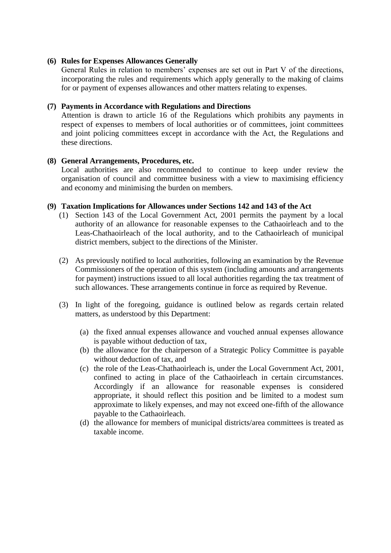## **(6) Rules for Expenses Allowances Generally**

General Rules in relation to members' expenses are set out in Part V of the directions, incorporating the rules and requirements which apply generally to the making of claims for or payment of expenses allowances and other matters relating to expenses.

# **(7) Payments in Accordance with Regulations and Directions**

Attention is drawn to article 16 of the Regulations which prohibits any payments in respect of expenses to members of local authorities or of committees, joint committees and joint policing committees except in accordance with the Act, the Regulations and these directions.

### **(8) General Arrangements, Procedures, etc.**

Local authorities are also recommended to continue to keep under review the organisation of council and committee business with a view to maximising efficiency and economy and minimising the burden on members.

### **(9) Taxation Implications for Allowances under Sections 142 and 143 of the Act**

- (1) Section 143 of the Local Government Act, 2001 permits the payment by a local authority of an allowance for reasonable expenses to the Cathaoirleach and to the Leas-Chathaoirleach of the local authority, and to the Cathaoirleach of municipal district members, subject to the directions of the Minister.
- (2) As previously notified to local authorities, following an examination by the Revenue Commissioners of the operation of this system (including amounts and arrangements for payment) instructions issued to all local authorities regarding the tax treatment of such allowances. These arrangements continue in force as required by Revenue.
- (3) In light of the foregoing, guidance is outlined below as regards certain related matters, as understood by this Department:
	- (a) the fixed annual expenses allowance and vouched annual expenses allowance is payable without deduction of tax,
	- (b) the allowance for the chairperson of a Strategic Policy Committee is payable without deduction of tax, and
	- (c) the role of the Leas-Chathaoirleach is, under the Local Government Act, 2001, confined to acting in place of the Cathaoirleach in certain circumstances. Accordingly if an allowance for reasonable expenses is considered appropriate, it should reflect this position and be limited to a modest sum approximate to likely expenses, and may not exceed one-fifth of the allowance payable to the Cathaoirleach.
	- (d) the allowance for members of municipal districts/area committees is treated as taxable income.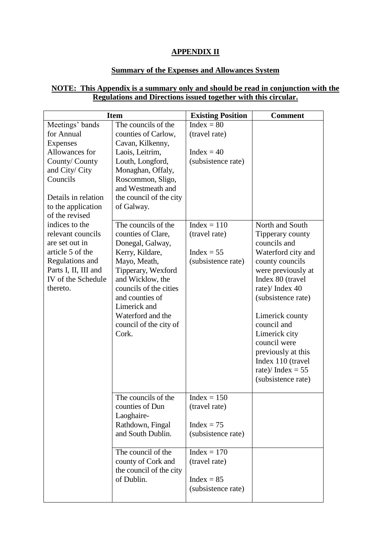# **APPENDIX II**

# **Summary of the Expenses and Allowances System**

# **NOTE: This Appendix is a summary only and should be read in conjunction with the Regulations and Directions issued together with this circular.**

| <b>Item</b>                                                                                                                                                                      |                                                                                                                                                                                                                                                                 | <b>Existing Position</b>                                             | <b>Comment</b>                                                                                                                                                                                                                                                                                                                             |
|----------------------------------------------------------------------------------------------------------------------------------------------------------------------------------|-----------------------------------------------------------------------------------------------------------------------------------------------------------------------------------------------------------------------------------------------------------------|----------------------------------------------------------------------|--------------------------------------------------------------------------------------------------------------------------------------------------------------------------------------------------------------------------------------------------------------------------------------------------------------------------------------------|
| Meetings' bands<br>for Annual<br><b>Expenses</b><br>Allowances for<br>County/County<br>and City/ City<br>Councils<br>Details in relation<br>to the application<br>of the revised | The councils of the<br>counties of Carlow,<br>Cavan, Kilkenny,<br>Laois, Leitrim,<br>Louth, Longford,<br>Monaghan, Offaly,<br>Roscommon, Sligo,<br>and Westmeath and<br>the council of the city<br>of Galway.                                                   | $Index = 80$<br>(travel rate)<br>$Index = 40$<br>(subsistence rate)  |                                                                                                                                                                                                                                                                                                                                            |
| indices to the<br>relevant councils<br>are set out in<br>article 5 of the<br>Regulations and<br>Parts I, II, III and<br>IV of the Schedule<br>thereto.                           | The councils of the<br>counties of Clare,<br>Donegal, Galway,<br>Kerry, Kildare,<br>Mayo, Meath,<br>Tipperary, Wexford<br>and Wicklow, the<br>councils of the cities<br>and counties of<br>Limerick and<br>Waterford and the<br>council of the city of<br>Cork. | $Index = 110$<br>(travel rate)<br>$Index = 55$<br>(subsistence rate) | North and South<br>Tipperary county<br>councils and<br>Waterford city and<br>county councils<br>were previously at<br>Index 80 (travel<br>rate)/ Index 40<br>(subsistence rate)<br>Limerick county<br>council and<br>Limerick city<br>council were<br>previously at this<br>Index 110 (travel<br>rate)/ Index = $55$<br>(subsistence rate) |
|                                                                                                                                                                                  | The councils of the<br>counties of Dun<br>Laoghaire-<br>Rathdown, Fingal<br>and South Dublin.                                                                                                                                                                   | $Index = 150$<br>(travel rate)<br>$Index = 75$<br>(subsistence rate) |                                                                                                                                                                                                                                                                                                                                            |
|                                                                                                                                                                                  | The council of the<br>county of Cork and<br>the council of the city<br>of Dublin.                                                                                                                                                                               | $Index = 170$<br>(travel rate)<br>$Index = 85$<br>(subsistence rate) |                                                                                                                                                                                                                                                                                                                                            |